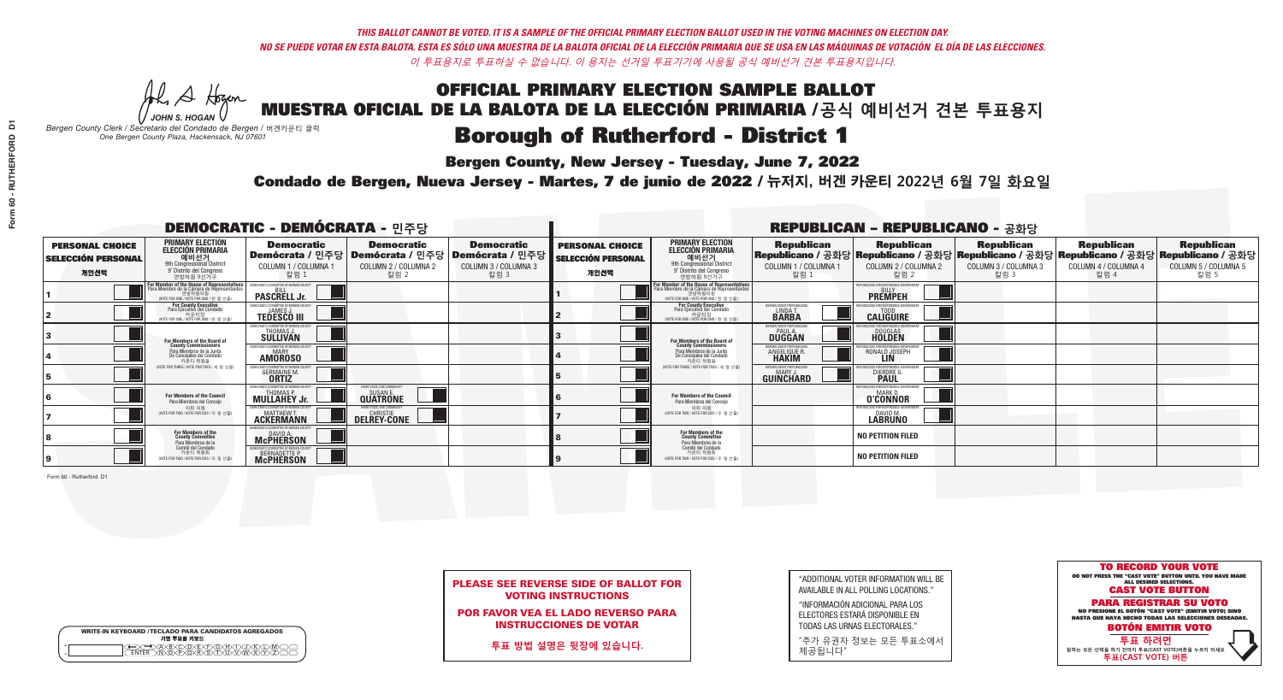A Hogen

| <b>WRITE-IN KEYBOARD /TECLADO PARA CANDIDATOS AGREGADOS</b><br>기명 투표용 키보드 |
|---------------------------------------------------------------------------|
| .)BXCXDXEXFXGXHX<br>፞ <i>ቚ</i> ፙ፝ዀ፝ጞጞ፝                                    |

*JOHN S. HOGAN*

*Bergen County Clerk / Secretario del Condado de Bergen /* 버겐카운티 클럭 *One Bergen County Plaza, Hackensack, NJ 07601*

## **Borough of Rutherford - District 1**

**Bergen County, New Jersey - Tuesday, June 7, 2022** 

Condado de Bergen, Nueva Jersey - Martes, 7 de junio de 2022 / 뉴저지, 버겐 카운티 2022년 6월 7일 화요일 *One Bergen County Plaza, Hackensack, NJ 07601*



PLEASE SEE REVERSE SIDE OF BALLOT FOR VOTING INSTRUCTIONS

POR FAVOR VEA EL LADO REVERSO PARA INSTRUCCIONES DE VOTAR

**투표 방법 설명은 뒷장에 있습니다.**

"ADDITIONAL VOTER INFORMATION WILL BE AVAILABLE IN ALL POLLING LOCATIONS."

"INFORMACIÓN ADICIONAL PARA LOS ELECTORES ESTARÁ DISPONIBLE EN TODAS LAS URNAS ELECTORALES."

"추가 유권자 정보는 모든 투표소에서 제공됩니다"

|                                                             |                                                                                                                                                             | <b>DEMOCRATIC - DEMÓCRATA - 민주당</b>                                                   |                                                   |                                                                      |                                                             | <b>REPUBLICAN - REPUBLICANO - 공화당</b>                                                                                                         |                                                       |                                                                                                                                                |                                                   |                                                   |                                                   |  |
|-------------------------------------------------------------|-------------------------------------------------------------------------------------------------------------------------------------------------------------|---------------------------------------------------------------------------------------|---------------------------------------------------|----------------------------------------------------------------------|-------------------------------------------------------------|-----------------------------------------------------------------------------------------------------------------------------------------------|-------------------------------------------------------|------------------------------------------------------------------------------------------------------------------------------------------------|---------------------------------------------------|---------------------------------------------------|---------------------------------------------------|--|
| <b>PERSONAL CHOICE</b><br><b>SELECCIÓN PERSONAL</b><br>개인선택 | <b>PRIMARY ELECTION</b><br><b>ELECCIÓN PRIMARIA</b><br>에비선거<br><sub>Str</sub> ond congressional District<br><sup>9</sup> Distrito del Congreso<br>연방하원 9선거구 | <b>Democratic</b><br>│Demócrata / 민주당│Demócrata / 민주당<br>COLUMN 1 / COLUMNA 1<br>칼럼 1 | <b>Democratic</b><br>COLUMN 2 / COLUMNA 2<br>칼럼 2 | <b>Democratic</b><br>Demócrata / 민주당<br>COLUMN 3 / COLUMNA 3<br>칼럼 3 | <b>PERSONAL CHOICE</b><br><b>SELECCIÓN PERSONAL</b><br>개인선택 | <b>PRIMARY ELECTION</b><br>ELECCIÓN PRIMARIA<br>9th Congressional District<br>9° Distrito del Congreso<br>연방하원 9선거구                           | <b>Republican</b><br>COLUMN 1 / COLUMNA 1<br>참럼 1     | <b>Republican</b><br>Republicano / 공화당 Republicano / 공화당 Republicano / 공화당 Republicano / 공화당 Republicano / 공화당<br>COLUMN 2 / COLUMNA 2<br>참럼 2 | <b>Republican</b><br>COLUMN 3 / COLUMNA 3<br>칼럼 3 | <b>Republican</b><br>COLUMN 4 / COLUMNA 4<br>칼럼 4 | <b>Republican</b><br>COLUMN 5 / COLUMNA 5<br>칼럼 5 |  |
|                                                             | For Member of the House of Representatives<br>Para Miembro de la Cámara de Representantes<br>연방하원의원<br>(VOTE FOR ONE / VOTE POR UNO / 한 명 선출)               | DEMOCRATIC COMMITTEE OF BERGEN COUNTY<br><b>PASCRELL Jr.</b>                          |                                                   |                                                                      |                                                             | For Member of the House of Representatives<br>Para Miembro de la Cámara de Representantes<br>연방하원의원<br>(VOTE FOR ONE / VOTE POR UNO / 한 명 선출) |                                                       | PUBLICANS FOR RESPONSIBLE GOVERNMEN<br><b>PREMPEH</b>                                                                                          |                                                   |                                                   |                                                   |  |
|                                                             | <b>For County Executive</b><br>Para Ejecutivo del Condado<br>WOTE FOR ONE / VOTE POR UNO / 한 명 선출)                                                          | EMOCRATIC COMMITTEE OF BERGEN COUNTY<br><b>TEDESCO III</b>                            |                                                   |                                                                      |                                                             | For County Executive<br>Para Ejecutivo del Condado<br>7) 카운티장<br>(VOTE FOR ONE / VOTE POR UNO / 한 명 선출)                                       | BERGEN COUNTY REPUBLICAN<br>LINDA T.                  | <b>CALIGUIRE</b>                                                                                                                               |                                                   |                                                   |                                                   |  |
|                                                             | For Members of the Board of<br>County Commissioners                                                                                                         | EMOCRATIC COMMITTEE OF BERGEN COUNT<br>THOMAS J.                                      |                                                   |                                                                      |                                                             | For Members of the Board of<br>County Commissioners                                                                                           | ERGEN COUNTY REPUBLICAN<br><b>DUGGAN</b>              | <b>DOUGLAS</b><br><b>HOLDEN</b>                                                                                                                |                                                   |                                                   |                                                   |  |
|                                                             | Para Miembros de la Junta<br>De Concejales del Condado<br>카우티 위원들                                                                                           | MOCRATIC COMMITTEE OF BERGEN COUNT<br><b>AMOROSO</b>                                  |                                                   |                                                                      |                                                             | Para Miembros de la Junta<br>De Concejales del Condado<br>카우티 위원들                                                                             | <b>ERGEN COUNTY REPUBLICAN!</b><br><b>ANGELIQUE R</b> | RONALD JOSEPH                                                                                                                                  |                                                   |                                                   |                                                   |  |
|                                                             | (VOTE FOR THREE / VOTE POR TRES / 세 명 선출)                                                                                                                   | OCRATIC COMMITTEE OF BERGEN C<br><b>GERMAINE M</b>                                    |                                                   |                                                                      |                                                             | NOTE FOR THREE / VOTE POR TRES / 세 명 선출                                                                                                       | BERGEN COUNTY REPUBLICANS<br>MARY J<br>GUINCHARD      | S FOR RESPONSIBI E GO<br><b>DIERDRE</b>                                                                                                        |                                                   |                                                   |                                                   |  |
|                                                             | For Members of the Council<br>Para Miembros del Conceio                                                                                                     | EMOCRATIC COMMITTEE OF BERGEN COL<br><b>MULLAHEY Jr.</b>                              | VERY VOICE, ONE COMMUNITY<br><b>QUATRONE</b>      |                                                                      |                                                             | For Members of the Council<br>Para Miembros del Conceio                                                                                       |                                                       | UBLICANS FOR RESPONSIBLE GO<br><b>O'CONNOR</b>                                                                                                 |                                                   |                                                   |                                                   |  |
|                                                             | 의회 의원<br>(VOTE FOR TWO / VOTE POR DOS / 두 명 선출)                                                                                                             | EMOCRATIC COMMITTEE OF BERGEN COUNTY<br><b>ACKERMANN</b>                              | VERY VOICE, ONE COMMUNITY<br><b>DELREY-CONE</b>   |                                                                      |                                                             | 의회 의원<br>(VOTE FOR TWO / VOTE POR DOS / 두 명 선출)                                                                                               |                                                       | PUBLICANS FOR RESPONSIBLE GOVERNMEN<br>DAVID M.<br>LABRUNO                                                                                     |                                                   |                                                   |                                                   |  |
|                                                             | For Members of the<br>County Committee<br>Para Miembros de la<br>Comité del Condado                                                                         | DAVID A.                                                                              |                                                   |                                                                      |                                                             | For Members of the<br>County Committee<br>Para Miembros de la<br>Comité del Condado                                                           |                                                       | <b>NO PETITION FILED</b>                                                                                                                       |                                                   |                                                   |                                                   |  |
|                                                             | 카운티 위원회<br>(VOTE FOR TWO / VOTE POR DOS / 두 명 선출)                                                                                                           | <b>EMOCRATIC COMMITTEE OF BERGEN COUNTY</b><br>BERNADETTE P.                          |                                                   |                                                                      |                                                             | 카운티 위원회<br>WOTE FOR TWO / VOTE POR DOS / 두 명 선출)                                                                                              |                                                       | <b>NO PETITION FILED</b>                                                                                                                       |                                                   |                                                   |                                                   |  |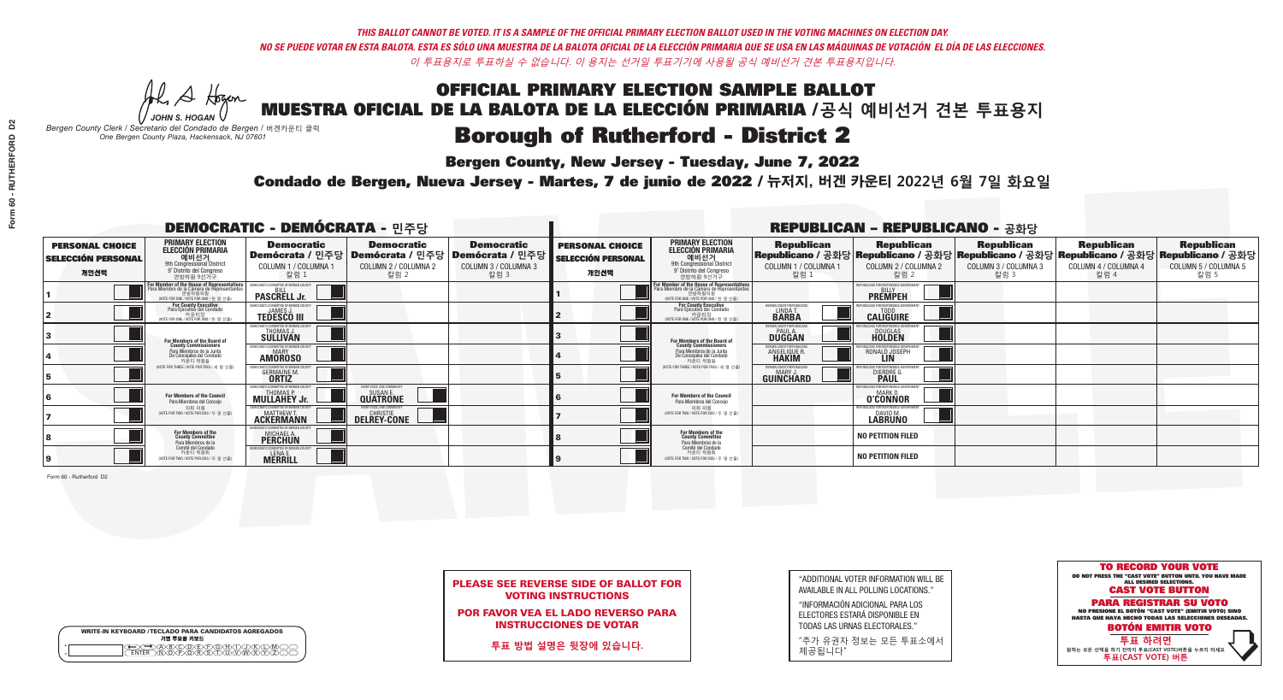A Hogen *JOHN S. HOGAN*

| <b>WRITE-IN KEYBOARD /TECLADO PARA CANDIDATOS AGREGADOS</b><br>기명 투표용 키보드 |  |
|---------------------------------------------------------------------------|--|
| ABODELEAR                                                                 |  |

*Bergen County Clerk / Secretario del Condado de Bergen /* 버겐카운티 클럭 *One Bergen County Plaza, Hackensack, NJ 07601*

### **Borough of Rutherford - District 2**

**Bergen County, New Jersey - Tuesday, June 7, 2022** 

Condado de Bergen, Nueva Jersey - Martes, 7 de junio de 2022 / 뉴저지, 버겐 카운티 2022년 6월 7일 화요일 *One Bergen County Plaza, Hackensack, NJ 07601*



PLEASE SEE REVERSE SIDE OF BALLOT FOR VOTING INSTRUCTIONS

POR FAVOR VEA EL LADO REVERSO PARA INSTRUCCIONES DE VOTAR

**투표 방법 설명은 뒷장에 있습니다.**

"ADDITIONAL VOTER INFORMATION WILL BE AVAILABLE IN ALL POLLING LOCATIONS."

"INFORMACIÓN ADICIONAL PARA LOS ELECTORES ESTARÁ DISPONIBLE EN TODAS LAS URNAS ELECTORALES."

"추가 유권자 정보는 모든 투표소에서 제공됩니다"

| <b>DEMOCRATIC - DEMÓCRATA - 민주당</b>                         |                                                                                                                                               |                                                                  |                                                   |                                                                                                        | <b>REPUBLICAN - REPUBLICANO - 공화당</b>                       |                                                                                                                                               |                                                              |                                                                           |                                                                                                                                                |                                                   |                                                   |
|-------------------------------------------------------------|-----------------------------------------------------------------------------------------------------------------------------------------------|------------------------------------------------------------------|---------------------------------------------------|--------------------------------------------------------------------------------------------------------|-------------------------------------------------------------|-----------------------------------------------------------------------------------------------------------------------------------------------|--------------------------------------------------------------|---------------------------------------------------------------------------|------------------------------------------------------------------------------------------------------------------------------------------------|---------------------------------------------------|---------------------------------------------------|
| <b>PERSONAL CHOICE</b><br><b>SELECCIÓN PERSONAL</b><br>개인선택 | <b>PRIMARY ELECTION</b><br><b>ELECCIÓN PRIMARIA</b><br>예비선거<br>9th Congressional District<br>9° Distrito del Congreso<br>연방하원 9선거구            | <b>Democratic</b><br>COLUMN 1 / COLUMNA 1<br>칼럼 1                | <b>Democratic</b><br>COLUMN 2 / COLUMNA 2<br>칼럼 2 | <b>Democratic</b><br>│Demócrata / 민주당│Demócrata / 민주당│Demócrata / 민주당┃<br>COLUMN 3 / COLUMNA 3<br>칼럼 3 | <b>PERSONAL CHOICE</b><br><b>SELECCIÓN PERSONAL</b><br>개인선택 | <b>PRIMARY ELECTION</b><br><b>ELECCIÓN PRIMARIA</b><br>예비선거<br>9th Congressional District<br>9° Distrito del Congreso<br>연방하원 9선거구            | <b>Republican</b><br>COLUMN 1 / COLUMNA 1<br>칼럼 :            | <b>Republican</b><br>COLUMN 2 / COLUMNA 2<br>칼럼 2                         | <b>Republican</b><br>Republicano / 공화당 Republicano / 공화당 Republicano / 공화당 Republicano / 공화당 Republicano / 공화당<br>COLUMN 3 / COLUMNA 3<br>칼럼 3 | <b>Republican</b><br>COLUMN 4 / COLUMNA 4<br>칼럼 4 | <b>Republican</b><br>COLUMN 5 / COLUMNA 5<br>칼럼 5 |
|                                                             | For Member of the House of Representatives<br>Para Miembro de la Cámara de Representantes<br>연방하원의원<br>(VOTE FOR ONE / VOTE POR UNO / 한 명 선출) | <b>PASCRELL Jr.</b>                                              |                                                   |                                                                                                        |                                                             | For Member of the House of Representatives<br>Para Miembro de la Cámara de Representantes<br>연방하원의원<br>(VOTE FOR ONE / VOTE POR UNO / 한 명 선출) |                                                              | <b>PREMPEH</b>                                                            |                                                                                                                                                |                                                   |                                                   |
|                                                             | For County Executive<br>Para Ejecutivo del Condado<br>가운티장<br>(VOTE FOR ONE / VOTE POR UNO / 한 명 선출)                                          | <b>EMOCRATIC COMMITTEE OF BEBGEN COUNT</b><br><b>TEDESCO III</b> |                                                   |                                                                                                        |                                                             | <b>For County Executive</b><br>Para Ejecutivo del Condado<br>카운티장<br>WOTE FOR ONE / VOTE POR UNO / 한 명 선출                                     | ERGEN COUNTY REPUBLICAN<br>LINDA T.                          | <b>CALIGUIRE</b>                                                          |                                                                                                                                                |                                                   |                                                   |
|                                                             | For Members of the Board of<br>County Commissioners                                                                                           | MOCRATIC COMMITTEE OF BERGEN COUNT<br>THOMAS J.                  |                                                   |                                                                                                        |                                                             | For Members of the Board of<br>County Commissioners                                                                                           | ERGEN COUNTY REPUBLICAI<br><b>PAUL A.</b><br><b>DUGGAN</b>   | <b>DOUGLAS</b><br><b>HOLDEN</b>                                           |                                                                                                                                                |                                                   |                                                   |
|                                                             | Para Miembros de la Junta<br>De Concejales del Condado<br>카우티 위원들                                                                             | MOCRATIC COMMITTEE OF BERGEN COUNTY<br><b>AMOROSO</b>            |                                                   |                                                                                                        |                                                             | Para Miembros de la Junta<br>De Concejales del Condado<br>카우티 위원들                                                                             | RGEN COUNTY REPUBLICAN<br><b>ANGELIQUE R</b><br><b>HAKIM</b> | RONALD JOSEPH                                                             |                                                                                                                                                |                                                   |                                                   |
|                                                             | NOTE FOR THREE / VOTE POR TRES / 세 명 선출)                                                                                                      | OCRATIC COMMITTEE OF BERGEN CO<br><b>GERMAINE M.</b>             |                                                   |                                                                                                        |                                                             | NOTE FOR THREE / VOTE POR TRES / 세 명 선출                                                                                                       | ERGEN COUNTY REPUBLICANS<br>MARY J<br>GUINCHARD              | <b>DIERDRE</b>                                                            |                                                                                                                                                |                                                   |                                                   |
|                                                             | For Members of the Council<br>Para Miembros del Conceio                                                                                       | MOCRATIC COMMITTEE OF BERGEN<br><b>MULLAHEY Jr.</b>              | VERY VOICE. ONE COMMUNIT<br><b>QUATRONE</b>       |                                                                                                        |                                                             | <b>For Members of the Council</b><br>Para Miembros del Conceio                                                                                |                                                              | FOR RESPONSIBLE GO<br><b>O'CONNOR</b>                                     |                                                                                                                                                |                                                   |                                                   |
|                                                             | 의회 의원<br>(VOTE FOR TWO / VOTE POR DOS / 두 명 선출)                                                                                               | <b>FMOCRATIC COMMITTEE OF BERGEN COUNT</b><br><b>ACKERMANN</b>   | VERY VOICE, ONE COMMUNITY<br>DELREY-CONE          |                                                                                                        |                                                             | 의회 의원<br>(VOTE FOR TWO / VOTE POR DOS / 두 명 선출)                                                                                               |                                                              | <b>EPUBLICANS FOR RESPONSIBLE GOVERNMEN</b><br>DAVID M.<br><b>LABRUNO</b> |                                                                                                                                                |                                                   |                                                   |
|                                                             | For Members of the<br>County Committee<br>Para Miembros de la<br>Comité del Condado                                                           | MICHAEL A.                                                       |                                                   |                                                                                                        |                                                             | For Members of the<br>County Committee<br>Para Miembros de la<br>Comité del Condado                                                           |                                                              | <b>NO PETITION FILED</b>                                                  |                                                                                                                                                |                                                   |                                                   |
|                                                             | 카운티 위원회<br>(VOTE FOR TWO / VOTE POR DOS / 두 명 선출)                                                                                             | EMOCRATIC COMMITTEE OF BERGEN COUN<br>LENA E.<br>MERRILL         |                                                   |                                                                                                        |                                                             | 카운티 위원회<br>WOTE FOR TWO / VOTE POR DOS / 두 명 선출)                                                                                              |                                                              | <b>NO PETITION FILED</b>                                                  |                                                                                                                                                |                                                   |                                                   |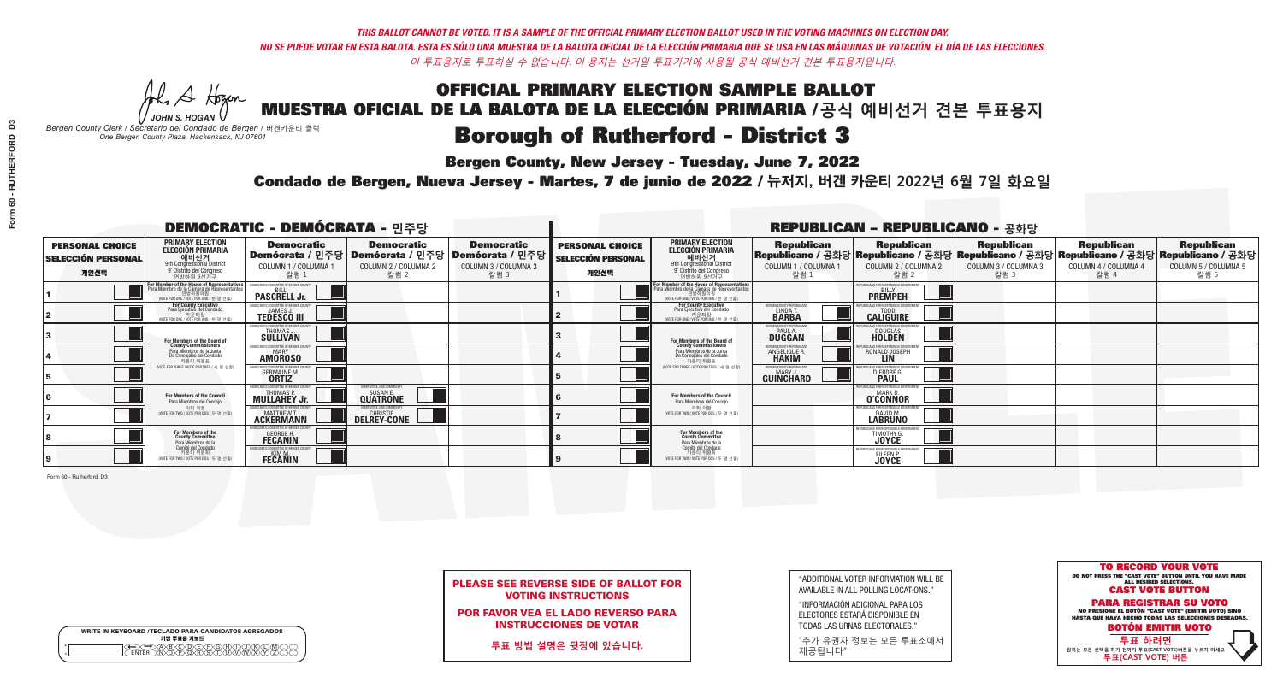### **Bergen County, New Jersey - Tuesday, June 7, 2022**

A Hogen *JOHN S. HOGAN*

|              | <b>WRITE-IN KEYBOARD /TECLADO PARA CANDIDATOS AGREGADOS</b><br>기명 투표용 키보드 |
|--------------|---------------------------------------------------------------------------|
| 0<br>$\circ$ | )®©®®®®®<br>b®®®®®©®®                                                     |

*Bergen County Clerk / Secretario del Condado de Bergen /* 버겐카운티 클럭 *One Bergen County Plaza, Hackensack, NJ 07601*



PLEASE SEE REVERSE SIDE OF BALLOT FOR VOTING INSTRUCTIONS

POR FAVOR VEA EL LADO REVERSO PARA INSTRUCCIONES DE VOTAR

**투표 방법 설명은 뒷장에 있습니다.**

"ADDITIONAL VOTER INFORMATION WILL BE AVAILABLE IN ALL POLLING LOCATIONS."

"INFORMACIÓN ADICIONAL PARA LOS ELECTORES ESTARÁ DISPONIBLE EN TODAS LAS URNAS ELECTORALES."

"추가 유권자 정보는 모든 투표소에서 제공됩니다"

### Condado de Bergen, Nueva Jersey - Martes, 7 de junio de 2022 / 뉴저지, 버겐 카운티 2022년 6월 7일 화요일 *One Bergen County Plaza, Hackensack, NJ 07601*

|                                                             |                                                                                                                                               | <b>DEMOCRATIC - DEMÓCRATA - 민주당</b>                                           |                                                                                                        |                                                   |                                                             |                                                                                                                                                        |                                                                | <b>REPUBLICAN - REPUBLICANO - 공화당</b>                                                                                                           |                                                   |                                                   |                                                   |
|-------------------------------------------------------------|-----------------------------------------------------------------------------------------------------------------------------------------------|-------------------------------------------------------------------------------|--------------------------------------------------------------------------------------------------------|---------------------------------------------------|-------------------------------------------------------------|--------------------------------------------------------------------------------------------------------------------------------------------------------|----------------------------------------------------------------|-------------------------------------------------------------------------------------------------------------------------------------------------|---------------------------------------------------|---------------------------------------------------|---------------------------------------------------|
| <b>PERSONAL CHOICE</b><br><b>SELECCIÓN PERSONAL</b><br>개인선택 | <b>PRIMARY ELECTION</b><br><b>ELECCIÓN PRIMARIA</b><br>예비선거<br><sup>9th</sup> Congressional District<br>9° Distrito del Congreso<br>연방하원 9선거구 | <b>Democratic</b><br>COLUMN 1 / COLUMNA 1<br>칼럼 :                             | <b>Democratic</b><br>│Demócrata / 민주당│Demócrata / 민주당│Demócrata / 민주당┃<br>COLUMN 2 / COLUMNA 2<br>칼럼 2 | <b>Democratic</b><br>COLUMN 3 / COLUMNA 3<br>칼럼 3 | <b>PERSONAL CHOICE</b><br><b>SELECCIÓN PERSONAL</b><br>개인선택 | <b>PRIMARY ELECTION</b><br>ELECCIÓN PRIMARIA<br>9th Congressional District<br>9° Distrito del Congreso<br>연방하원 9선거구                                    | <b>Republican</b><br>COLUMN 1 / COLUMNA 1<br>칼럼                | <b>Republican</b><br>Republicano / 공화당 Republicano / 공화당 Republicano / 공화당 Republicano / 공화당 Republicano / 공화당<br>COLUMN 2 / COLUMNA 2<br>·칼럼 2 | <b>Republican</b><br>COLUMN 3 / COLUMNA 3<br>칼럼 3 | <b>Republican</b><br>COLUMN 4 / COLUMNA 4<br>칼럼 4 | <b>Republican</b><br>COLUMN 5 / COLUMNA 5<br>칼럼 5 |
|                                                             | or Member of the House of Representatives<br>ara Miembro de la Cámara de Representantes<br>연방하원의원<br>(VOTE FOR ONE / VOTE POR UNO / 한 명 선출)   | <b>PASCRELL Jr.</b>                                                           |                                                                                                        |                                                   |                                                             | .<br>F <mark>or Member of the House of Representative</mark> s<br>Para Miembro de la Cámara de Representantes<br>(VOTE FOR ONE / VOTE POR UNO / 한 명 선출 |                                                                | <b>PREMPEH</b>                                                                                                                                  |                                                   |                                                   |                                                   |
|                                                             | <b>For County Executive</b><br>Para Ejecutivo del Condado<br>가운티장<br>(VOTE FOR ONE / VOTE POR UNO / 한 명 선출)                                   | EMOCRATIC COMMITTEE OF BERGEN COUNT<br><b>TEDESCO III</b>                     |                                                                                                        |                                                   |                                                             | For County Executive<br>Para Ejecutivo del Condado<br>카운티장<br>(WOTE FOR ONE / VOTE POR UNO / 한 명 선출)                                                   | BERGEN COUNTY REPUBLICAN<br>LINDA <sub>T</sub><br><b>BARBA</b> | <b>CALIGUIRE</b>                                                                                                                                |                                                   |                                                   |                                                   |
|                                                             | For Members of the Board of<br>County Commissioners                                                                                           | MOCRATIC COMMITTEE OF BERGEN COUNT<br>THOMAS J.                               |                                                                                                        |                                                   |                                                             | For Members of the Board of<br>County Commissioners                                                                                                    | <b>RERGEN COUNTY REPUBLICAL</b><br><b>DUGGAN</b>               | <b>DOUGLAS</b><br><b>HOLDEN</b>                                                                                                                 |                                                   |                                                   |                                                   |
|                                                             | Para Miembros de la Junta<br>De Concejales del Condado<br>카운티 위원들                                                                             | MOCRATIC COMMITTEE OF BERGEN COUNT<br><b>MARY</b><br><b>AMOROSO</b>           |                                                                                                        |                                                   |                                                             | Para Miembros de la Junta<br>De Concejales del Condado<br>카운티 위원들                                                                                      | ERGEN COUNTY REPUBLICAN<br>ANGELIQUE R.                        | ANS ENR RESPANSIRI E GA<br>RONALD JOSEPH                                                                                                        |                                                   |                                                   |                                                   |
|                                                             | NOTE FOR THREE / VOTE POR TRES / 세 명 선출)                                                                                                      | <b>CRATIC COMMITTEE OF BEBGEN COUNT</b><br><b>GERMAINE M.</b><br><b>ORTIZ</b> |                                                                                                        |                                                   |                                                             | (VOTE FOR THREE / VOTE POR TRES / 세 명 선출)                                                                                                              | ERGEN COUNTY REPUBLICAN<br>MARY J<br>GUINCHARD                 | <b>DIERDRE L</b>                                                                                                                                |                                                   |                                                   |                                                   |
|                                                             | For Members of the Council<br>Para Miembros del Concejo                                                                                       | MULLAHEY Jr.                                                                  | VERY VOICE, ONE COMMUNI<br><b>QUATRONE</b>                                                             |                                                   |                                                             | <b>For Members of the Council</b><br>Para Miembros del Concejo                                                                                         |                                                                | <b>MARKD</b><br><b>O'CONNOR</b>                                                                                                                 |                                                   |                                                   |                                                   |
|                                                             | 의회 의원<br>NOTE FOR TWO / VOTE POR DOS / 두 명 선출)                                                                                                | <b>MATTHEW T.</b><br><b>ACKERMANN</b>                                         | <b>DELREY-CONE</b>                                                                                     |                                                   |                                                             | 의회 의원<br>NOTE FOR TWO / VOTE POR DOS / 두 명 선출)                                                                                                         |                                                                | DAVID M.<br><b>LABRUNO</b>                                                                                                                      |                                                   |                                                   |                                                   |
|                                                             | For Members of the<br>County Committee<br>Para Miembros de la<br>Comité del Condado                                                           | <b>GEORGE H.</b><br><b>FECANIN</b>                                            |                                                                                                        |                                                   |                                                             | For Members of the<br>County Committee<br>Para Miembros de la<br>Comité del Condado                                                                    |                                                                | TIMOTHY G.                                                                                                                                      |                                                   |                                                   |                                                   |
|                                                             | 카운티 위원회<br>NOTE FOR TWO / VOTE POR DOS / 두 명 선출)                                                                                              | OCRATIC COMMITTEE OF BERGEN CO<br><b>FECANIN</b>                              |                                                                                                        |                                                   |                                                             | (VOTE FOR TWO / VOTE POR DOS / 두 명 선출)                                                                                                                 |                                                                | EILEEN P.<br><b>JOYCE</b>                                                                                                                       |                                                   |                                                   |                                                   |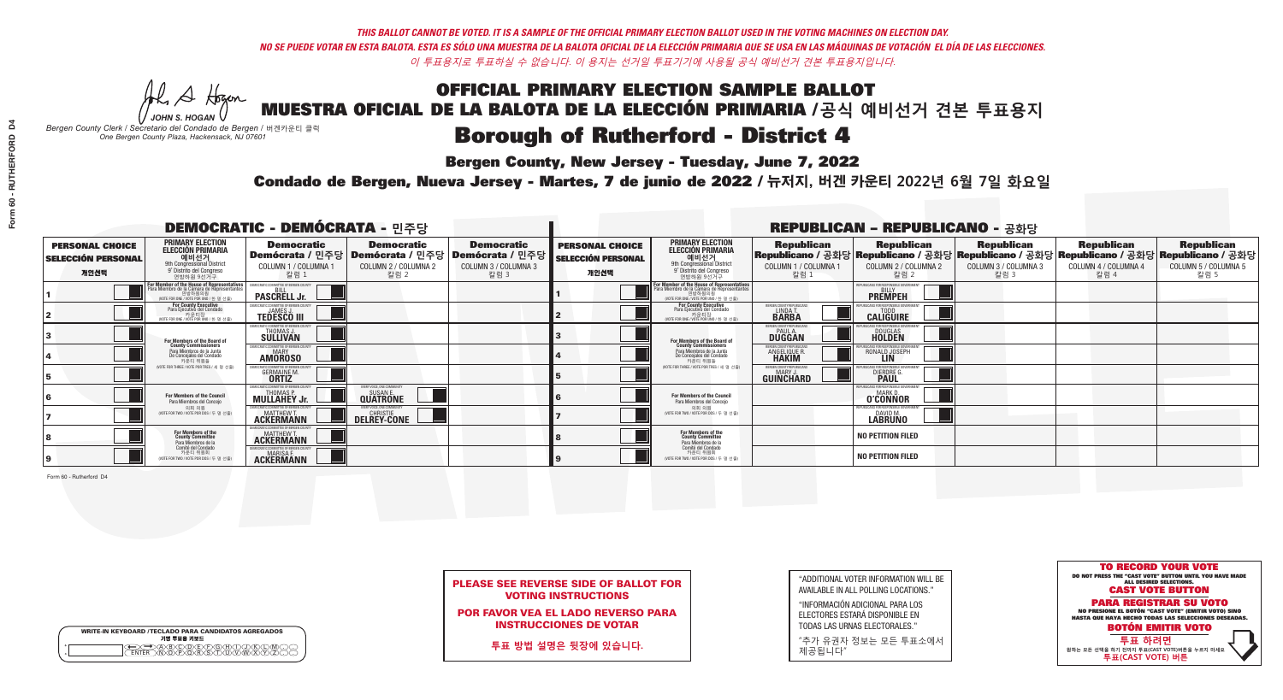He A Hogan *JOHN S. HOGAN*

| <b>WRITE-IN KEYBOARD /TECLADO PARA CANDIDATOS AGREGADOS</b><br>기명 투표용 키보드 |  |
|---------------------------------------------------------------------------|--|
| )B/C/D/E/F/G/F/T/.<br><u> እንሰነው እንደ አ</u>                                 |  |

*Bergen County Clerk / Secretario del Condado de Bergen /* 버겐카운티 클럭 *One Bergen County Plaza, Hackensack, NJ 07601*

## **Borough of Rutherford - District 4**

**Bergen County, New Jersey - Tuesday, June 7, 2022** 

Condado de Bergen, Nueva Jersey - Martes, 7 de junio de 2022 / 뉴저지, 버겐 카운티 2022년 6월 7일 화요일 *One Bergen County Plaza, Hackensack, NJ 07601*



| <b>PLEASE SEE REVERSE SIDE OF BALLOT FOR</b> |
|----------------------------------------------|
| <b>VOTING INSTRUCTIONS</b>                   |

POR FAVOR VEA EL LADO REVERSO PARA INSTRUCCIONES DE VOTAR

**투표 방법 설명은 뒷장에 있습니다.**

"ADDITIONAL VOTER INFORMATION WILL BE AVAILABLE IN ALL POLLING LOCATIONS."

"INFORMACIÓN ADICIONAL PARA LOS ELECTORES ESTARÁ DISPONIBLE EN TODAS LAS URNAS ELECTORALES."

"추가 유권자 정보는 모든 투표소에서 제공됩니다"

|                                                             |                                                                                                                                               | <b>DEMOCRATIC - DEMÓCRATA - 민주당</b>                                           |                                                                                        |                                                                        |                                                             |                                                                                                                                               |                                                            | <b>REPUBLICAN - REPUBLICANO - 공화당</b>               |                                                   |                                                   |                                                                                                                                                |
|-------------------------------------------------------------|-----------------------------------------------------------------------------------------------------------------------------------------------|-------------------------------------------------------------------------------|----------------------------------------------------------------------------------------|------------------------------------------------------------------------|-------------------------------------------------------------|-----------------------------------------------------------------------------------------------------------------------------------------------|------------------------------------------------------------|-----------------------------------------------------|---------------------------------------------------|---------------------------------------------------|------------------------------------------------------------------------------------------------------------------------------------------------|
| <b>PERSONAL CHOICE</b><br><b>SELECCIÓN PERSONAL</b><br>개인선택 | <b>PRIMARY ELECTION</b><br><b>ELECCIÓN PRIMARIA</b><br>예비선거<br>9th Congressional District<br>9° Distrito del Congreso<br>연방하원 9선거구            | <b>Democratic</b><br>COLUMN 1 / COLUMNA 1<br>칼럼 1                             | <b>Democratic</b><br>Demócrata / 민주당   Demócrata / 민주당<br>COLUMN 2 / COLUMNA 2<br>칼럼 2 | <b>Democratic</b><br>│Demócrata / 민주당┃<br>COLUMN 3 / COLUMNA 3<br>칼럼 3 | <b>PERSONAL CHOICE</b><br><b>SELECCIÓN PERSONAL</b><br>개인선택 | <b>PRIMARY ELECTION</b><br><b>ELECCIÓN PRIMARIA</b><br>예비선거<br>9th Congressional District<br>9° Distrito del Congreso<br>연방하원 9선거구            | <b>Republican</b><br>COLUMN 1 / COLUMNA 1<br>칼럼 1          | <b>Republican</b><br>COLUMN 2 / COLUMNA 2<br>칼럼 2   | <b>Republican</b><br>COLUMN 3 / COLUMNA 3<br>칼럼 3 | <b>Republican</b><br>COLUMN 4 / COLUMNA 4<br>칼럼 4 | <b>Republican</b><br>Republicano / 공화당 Republicano / 공화당 Republicano / 공화당 Republicano / 공화당 Republicano / 공화당<br>COLUMN 5 / COLUMNA 5<br>칼럼 5 |
|                                                             | For Member of the House of Representatives<br>Para Miembro de la Cámara de Representantes<br>연방하원의원<br>(VOTE FOR ONE / VOTE POR UNO / 한 명 선출) | EMOCRATIC COMMITTEE OF BERGEN CO<br><b>PASCRELL Jr.</b>                       |                                                                                        |                                                                        |                                                             | For Member of the House of Representatives<br>Para Miembro de la Cámara de Representantes<br>연방하원의원<br>(VOTE FOR ONE / VOTE POR UNO / 한 명 선출) |                                                            | EPUBLICANS FOR RESPONSIBLE GOVERN<br><b>PREMPEH</b> |                                                   |                                                   |                                                                                                                                                |
|                                                             | For County Executive<br>Para Ejecutivo del Condado<br>가운티장<br>(VOTE FOR ONE / VOTE POR UNO / 한 명 선출)                                          | EMOCRATIC COMMITTEE OF BERGEN COUNTY<br><b>TEDESCO III</b>                    |                                                                                        |                                                                        |                                                             | For County Executive<br>Para Ejecutivo del Condado<br>7 카운티장<br>(VOTE FOR ONE / VOTE POR UNO / 한 명 선출)                                        | BERGEN COUNTY REPUBLICAN<br>LINDA T.                       | <b>CALIGUIRE</b>                                    |                                                   |                                                   |                                                                                                                                                |
|                                                             | <b>For Members of the Board of<br/>County Commissioners</b>                                                                                   | MOCRATIC COMMITTEE OF BERGEN COUNTY<br>THOMAS J<br><b>SULLIVAN</b>            |                                                                                        |                                                                        |                                                             | For Members of the Board of<br>County Commissioners                                                                                           | ERGEN COUNTY REPUBLICAN<br><b>PAUL A.</b><br><b>DUGGAN</b> | <b>DOUGLAS</b><br><b>HOLDEN</b>                     |                                                   |                                                   |                                                                                                                                                |
|                                                             | Para Miembros de la Junta<br>De Concejales del Condado<br>카우티 위워들                                                                             | MOCRATIC COMMITTEE OF BERGEN COUNTY<br><b>MARY</b><br><b>AMOROSO</b>          |                                                                                        |                                                                        |                                                             | Para Miembros de la Junta<br>De Concejales del Condado<br>카운티 위원들                                                                             | RGEN COUNTY REPUBLICAN<br><b>ANGELIQUE R<br/>HAKIM</b>     | RONALD JOSEPH                                       |                                                   |                                                   |                                                                                                                                                |
|                                                             | (VOTE FOR THREE / VOTE POR TRES / 세 명 선출)                                                                                                     | DCRATIC COMMITTEE OF BERGEN COI<br><b>GERMAINE M.</b>                         |                                                                                        |                                                                        |                                                             | WOTE FOR THREE / VOTE POR TRES / 세 명 선출                                                                                                       | ERGEN COUNTY REPUBLICANS<br>MARY J.<br>GUIÑĈHARD           | FOR RESPONSIBLE G<br><b>DIERDRE</b>                 |                                                   |                                                   |                                                                                                                                                |
|                                                             | For Members of the Council<br>Para Miembros del Concejo                                                                                       | EMOCRATIC COMMITTEE OF BERGEN O<br><b>MULLAHEY Jr.</b>                        | EVERY VOICE, ONE COMMUNITY<br><b>QUATRONE</b>                                          |                                                                        |                                                             | For Members of the Council<br>Para Miembros del Conceio                                                                                       |                                                            | 'UBI ICANS FOR RESPONSIBI E GOV<br><b>O'CONNOR</b>  |                                                   |                                                   |                                                                                                                                                |
|                                                             | 의회 의원<br>(VOTE FOR TWO / VOTE POR DOS / 두 명 선출)                                                                                               | EMOCRATIC COMMITTEE OF BERGEN COUNTY<br><b>MATTHEW T.</b><br><b>ACKERMANN</b> | VERY VOICE. ONE COMMUNITY<br><b>DELREY-CONE</b>                                        |                                                                        |                                                             | 의회 의원<br>(VOTE FOR TWO / VOTE POR DOS / 두 명 선출)                                                                                               |                                                            | EPUBLICANS FOR RESPONSIBLE GOVERNMEN<br>DAVID M.    |                                                   |                                                   |                                                                                                                                                |
|                                                             | For Members of the<br>County Committee<br>Para Miembros de la<br>Comité del Condado                                                           | OCRATIC COMMITTEE OF BERGEN COI<br><b>MATTHEW T.</b><br><b>ACKERMANN</b>      |                                                                                        |                                                                        |                                                             | For Members of the<br>County Committee<br>Para Miembros de la<br>Comité del Condado                                                           |                                                            | <b>NO PETITION FILED</b>                            |                                                   |                                                   |                                                                                                                                                |
|                                                             | 카운티 위원회<br>(VOTE FOR TWO / VOTE POR DOS / 두 명 선출)                                                                                             | <b>EMOCRATIC COMMITTEE OF BERGEN COUNTY</b><br><b>ACKERMANN</b>               |                                                                                        |                                                                        |                                                             | 카운티 위원회<br>VOTE FOR TWO / VOTE POR DOS / 두 명 선출)                                                                                              |                                                            | <b>NO PETITION FILED</b>                            |                                                   |                                                   |                                                                                                                                                |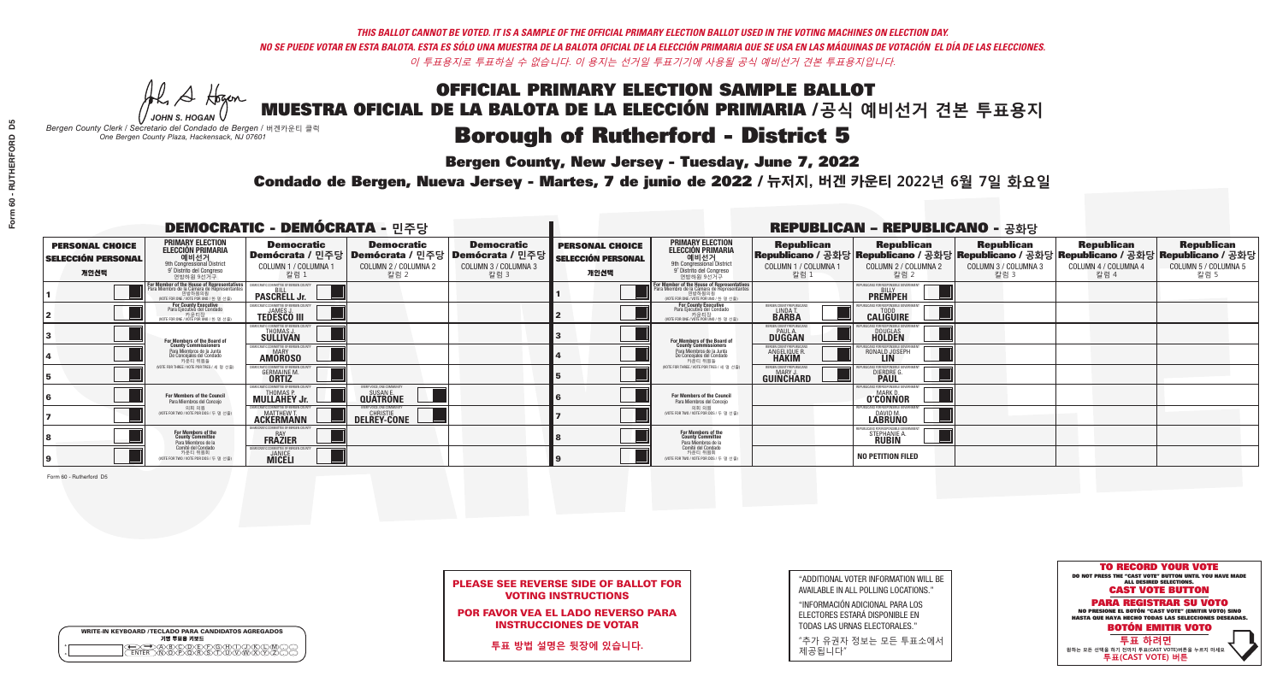A Hogen *JOHN S. HOGAN*

| <b>WRITE-IN KEYBOARD /TECLADO PARA CANDIDATOS AGREGADOS</b><br>기명 투표용 키보드 |  |
|---------------------------------------------------------------------------|--|
| ≫®®©®®®®®™©®®<br>TEB^®®®®®®™™®®®                                          |  |

# OFFICIAL PRIMARY ELECTION SAMPLE BALLOT

MUESTRA OFICIAL DE LA BALOTA DE LA ELECCIÓN PRIMARIA /**공식 예비선거 견본 투표용지**

*Bergen County Clerk / Secretario del Condado de Bergen /* 버겐카운티 클럭 *One Bergen County Plaza, Hackensack, NJ 07601*

## **Borough of Rutherford - District 5**

**Bergen County, New Jersey - Tuesday, June 7, 2022** 

Condado de Bergen, Nueva Jersey - Martes, 7 de junio de 2022 / 뉴저지, 버겐 카운티 2022년 6월 7일 화요일 *One Bergen County Plaza, Hackensack, NJ 07601*



| <b>PLEASE SEE REVERSE SIDE OF BALLOT FOR</b> |  |
|----------------------------------------------|--|
| <b>VOTING INSTRUCTIONS</b>                   |  |

POR FAVOR VEA EL LADO REVERSO PARA INSTRUCCIONES DE VOTAR

**투표 방법 설명은 뒷장에 있습니다.**

"ADDITIONAL VOTER INFORMATION WILL BE AVAILABLE IN ALL POLLING LOCATIONS."

"INFORMACIÓN ADICIONAL PARA LOS ELECTORES ESTARÁ DISPONIBLE EN TODAS LAS URNAS ELECTORALES."

"추가 유권자 정보는 모든 투표소에서 제공됩니다"

| ဉိ         |  |
|------------|--|
|            |  |
|            |  |
|            |  |
| RUTHERFORD |  |
|            |  |
| J,         |  |
| ი 60       |  |
| Form       |  |
|            |  |

|                                                             |                                                                                                                                               | <b>DEMOCRATIC - DEMÓCRATA - 민주당</b>                                   |                                                   |                                                                                                        | <b>REPUBLICAN - REPUBLICANO - 공화당</b>                       |                                                                                                                                               |                                                            |                                                                                                                                                |                                                   |                                                   |                                                   |
|-------------------------------------------------------------|-----------------------------------------------------------------------------------------------------------------------------------------------|-----------------------------------------------------------------------|---------------------------------------------------|--------------------------------------------------------------------------------------------------------|-------------------------------------------------------------|-----------------------------------------------------------------------------------------------------------------------------------------------|------------------------------------------------------------|------------------------------------------------------------------------------------------------------------------------------------------------|---------------------------------------------------|---------------------------------------------------|---------------------------------------------------|
| <b>PERSONAL CHOICE</b><br><b>SELECCIÓN PERSONAL</b><br>개인선택 | <b>PRIMARY ELECTION</b><br><b>ELECCIÓN PRIMARIA</b><br>예비선거<br>9th Congressional District<br>9° Distrito del Congreso<br>연방하원 9선거구            | <b>Democratic</b><br>COLUMN 1 / COLUMNA 1<br>칼럼 1                     | <b>Democratic</b><br>COLUMN 2 / COLUMNA 2<br>칼럼 2 | <b>Democratic</b><br>│Demócrata / 민주당│Demócrata / 민주당│Demócrata / 민주당┃<br>COLUMN 3 / COLUMNA 3<br>칼럼 3 | <b>PERSONAL CHOICE</b><br><b>SELECCIÓN PERSONAL</b><br>개인선택 | <b>PRIMARY ELECTION</b><br><b>ELECCIÓN PRIMARIA</b><br><u>. 예비선거</u><br>9th Congressional District<br>9° Distrito del Congreso<br>연방하원 9선거구   | <b>Republican</b><br>COLUMN 1 / COLUMNA 1<br>칼럼 1          | <b>Republican</b><br>Republicano / 공화당 Republicano / 공화당 Republicano / 공화당 Republicano / 공화당 Republicano / 공화당<br>COLUMN 2 / COLUMNA 2<br>칼럼 2 | <b>Republican</b><br>COLUMN 3 / COLUMNA 3<br>칼럼 3 | <b>Republican</b><br>COLUMN 4 / COLUMNA 4<br>칼럼 4 | <b>Republican</b><br>COLUMN 5 / COLUMNA 5<br>칼럼 5 |
|                                                             | For Member of the House of Representatives<br>Para Miembro de la Cámara de Representantes<br>연방하원의원<br>(VOTE FOR ONE / VOTE POR UNO / 한 명 선출) | EMOCRATIC COMMITTEE OF BERGEN CO<br><b>PASCRELL Jr.</b>               |                                                   |                                                                                                        |                                                             | For Member of the House of Representatives<br>Para Miembro de la Cámara de Representantes<br>연방하원의원<br>(VOTE FOR ONE / VOTE POR UNO / 한 명 선출) |                                                            | PUBLICANS FOR RESPONSIBLE GOVER<br><b>PREMPEH</b>                                                                                              |                                                   |                                                   |                                                   |
|                                                             | <b>For County Executive</b><br>Para Ejecutivo del Condado<br>가운티장<br>(VOTE FOR ONE / VOTE POR UNO / 한 명 선출)                                   | EMOCRATIC COMMITTEE OF BERGEN COUNTY<br><b>TEDESCO III</b>            |                                                   |                                                                                                        |                                                             | For County Executive<br>Para Ejecutivo del Condado<br>7 카운티장<br>(VOTE FOR ONE / VOTE POR UNO / 한 명 선출)                                        | BERGEN COUNTY REPUBLICAN<br>LINDA T.                       | <b>CALIGUIRE</b>                                                                                                                               |                                                   |                                                   |                                                   |
|                                                             | For Members of the Board of<br>County Commissioners                                                                                           | MOCRATIC COMMITTEE OF BERGEN COUNTY<br>THOMAS J.<br><b>SÜLLIVAN</b>   |                                                   |                                                                                                        |                                                             | For Members of the Board of<br>County Commissioners                                                                                           | ERGEN COUNTY REPUBLICAN<br><b>PAUL A.</b><br><b>DUGGAN</b> | <b>DOUGLAS</b>                                                                                                                                 |                                                   |                                                   |                                                   |
|                                                             | Para Miembros de la Junta<br>De Concejales del Condado<br>카우티 위원들                                                                             | <i>A</i> OCRATIC COMMITTEE OF BERGEN COUNTY<br>MARY<br><b>AMOROSO</b> |                                                   |                                                                                                        |                                                             | Para Miembros de la Junta<br>De Concejales del Condado<br>카운티 위원들                                                                             | RGEN COUNTY REPUBLICAN<br><b>ANGELIQUE R<br/>HAKIM</b>     | RONALD JOSEPH                                                                                                                                  |                                                   |                                                   |                                                   |
|                                                             | NOTE FOR THREE / VOTE POR TRES / 세 명 선출)                                                                                                      | OCRATIC COMMITTEE OF BERGEN CO<br><b>GERMAINE M.</b>                  |                                                   |                                                                                                        |                                                             | WOTE FOR THREE / VOTE POR TRES / 세 명 선출                                                                                                       | ERGEN COUNTY REPUBLICANS<br>MARY .I<br>GUINCHARD           | 'FOR RESPONSIBLE G<br>DIERDRE G                                                                                                                |                                                   |                                                   |                                                   |
|                                                             | For Members of the Council<br>Para Miembros del Conceio                                                                                       | FMOCRATIC COMMITTEE OF BERGEN C<br><b>MULLAHEY Jr.</b>                | EVERY VOICE, ONE COMMUNITY<br><b>QUATRONE</b>     |                                                                                                        |                                                             | <b>For Members of the Council</b><br>Para Miembros del Conceio                                                                                |                                                            | 'UBI ICANS FOR RESPONSIBI E GOV<br><b>O'CONNOR</b>                                                                                             |                                                   |                                                   |                                                   |
|                                                             | 의회 의원<br>(VOTE FOR TWO / VOTE POR DOS / 두 명 선출)                                                                                               | EMOCRATIC COMMITTEE OF BERGEN COUNTY<br><b>ACKERMANN</b>              | VERY VOICE. ONE COMMUNITY<br><b>DELREY-CONE</b>   |                                                                                                        |                                                             | 의회 의원<br>(VOTE FOR TWO / VOTE POR DOS / 두 명 선출)                                                                                               |                                                            | EPUBLICANS FOR RESPONSIBLE GOVERNMEN<br>DAVID M.                                                                                               |                                                   |                                                   |                                                   |
|                                                             | For Members of the<br>County Committee<br>Para Miembros de la<br>Comité del Condado                                                           | MOCRATIC COMMITTEE OF BERGEN COUN'<br><b>FRAZIER</b>                  |                                                   |                                                                                                        |                                                             | For Members of the<br>County Committee<br>Para Miembros de la<br>Comité del Condado                                                           |                                                            | <b>STEPHANIE A</b>                                                                                                                             |                                                   |                                                   |                                                   |
|                                                             | 카운티 위원회<br>(VOTE FOR TWO / VOTE POR DOS / 두 명 선출)                                                                                             | EMOCRATIC COMMITTEE OF BERGEN COUNTY<br><b>MICELI</b>                 |                                                   |                                                                                                        |                                                             | 카운티 위원회<br>WOTE FOR TWO / VOTE POR DOS / 두 명 선출)                                                                                              |                                                            | <b>NO PETITION FILED</b>                                                                                                                       |                                                   |                                                   |                                                   |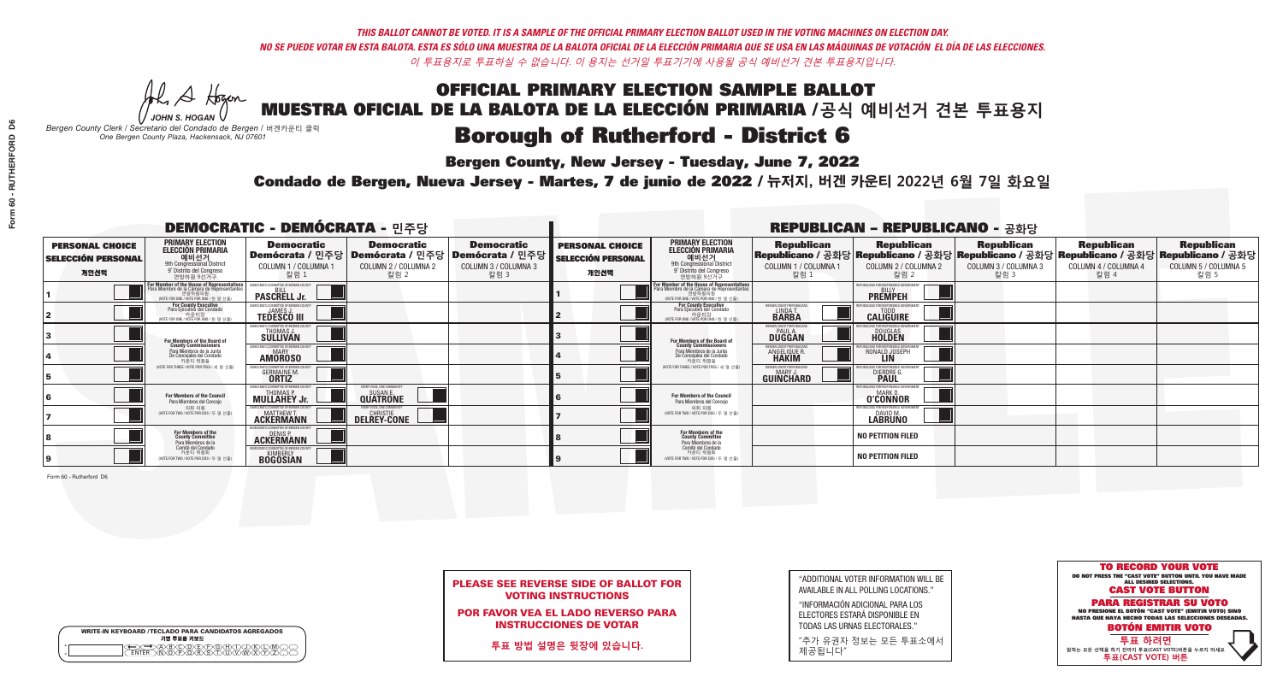A Hogen *JOHN S. HOGAN*

| <b>WRITE-IN KEYBOARD /TECLADO PARA CANDIDATOS AGREGADOS</b><br>기명 투표용 키보드 |  |
|---------------------------------------------------------------------------|--|
| )®©®©®®®<br>}@®®®\$©™                                                     |  |

# OFFICIAL PRIMARY ELECTION SAMPLE BALLOT

MUESTRA OFICIAL DE LA BALOTA DE LA ELECCIÓN PRIMARIA /**공식 예비선거 견본 투표용지**

*Bergen County Clerk / Secretario del Condado de Bergen /* 버겐카운티 클럭 *One Bergen County Plaza, Hackensack, NJ 07601*

### **Borough of Rutherford - District 6**

**Bergen County, New Jersey - Tuesday, June 7, 2022** 

Condado de Bergen, Nueva Jersey - Martes, 7 de junio de 2022 / 뉴저지, 버겐 카운티 2022년 6월 7일 화요일 *One Bergen County Plaza, Hackensack, NJ 07601*



PLEASE SEE REVERSE SIDE OF BALLOT FOR VOTING INSTRUCTIONS

POR FAVOR VEA EL LADO REVERSO PARA INSTRUCCIONES DE VOTAR

**투표 방법 설명은 뒷장에 있습니다.**

"ADDITIONAL VOTER INFORMATION WILL BE AVAILABLE IN ALL POLLING LOCATIONS."

"INFORMACIÓN ADICIONAL PARA LOS ELECTORES ESTARÁ DISPONIBLE EN TODAS LAS URNAS ELECTORALES."

"추가 유권자 정보는 모든 투표소에서 제공됩니다"

|                                                             |                                                                                                                                                       | <b>DEMOCRATIC - DEMÓCRATA - 민주당</b>                                                   |                                                   |                                                                        | <b>REPUBLICAN - REPUBLICANO - 공화당</b>                       |                                                                                                                                               |                                                               |                                                                                                                                              |                                                   |                                                   |                                                   |  |
|-------------------------------------------------------------|-------------------------------------------------------------------------------------------------------------------------------------------------------|---------------------------------------------------------------------------------------|---------------------------------------------------|------------------------------------------------------------------------|-------------------------------------------------------------|-----------------------------------------------------------------------------------------------------------------------------------------------|---------------------------------------------------------------|----------------------------------------------------------------------------------------------------------------------------------------------|---------------------------------------------------|---------------------------------------------------|---------------------------------------------------|--|
| <b>PERSONAL CHOICE</b><br><b>SELECCIÓN PERSONAL</b><br>개인선택 | <b>PRIMARY ELECTION</b><br><b>ELECCIÓN PRIMARIA</b><br>예비선거<br>9th Congressional District<br>9° Distrito del Congreso<br>연방하원 9선거구                    | <b>Democratic</b><br>│Demócrata / 민주당│Demócrata / 민주당<br>COLUMN 1 / COLUMNA 1<br>칼럼 1 | <b>Democratic</b><br>COLUMN 2 / COLUMNA 2<br>칼럼 2 | <b>Democratic</b><br>Demócrata / 민주당  <br>COLUMN 3 / COLUMNA 3<br>칼럼 3 | <b>PERSONAL CHOICE</b><br><b>SELECCIÓN PERSONAL</b><br>개인선택 | <b>PRIMARY ELECTION</b><br>ELECCIÓN PRIMARIA<br>예비선거<br>9th Congressional District<br>9° Distrito del Congreso<br>연방하워 9선거구                   | <b>Republican</b><br>COLUMN 1 / COLUMNA 1<br>칼럼 :             | <b>Republican</b><br>Republicano / 공화당 Republicano / 공화당 Republicano / 공화당 Republicano / 공화당 Republicano / 공화당<br>COLUMN 2 / COLUMNA 2<br>칼럼 | <b>Republican</b><br>COLUMN 3 / COLUMNA 3<br>칼럼 3 | <b>Republican</b><br>COLUMN 4 / COLUMNA 4<br>칼럼 4 | <b>Republican</b><br>COLUMN 5 / COLUMNA 5<br>칼럼 5 |  |
|                                                             | <b>For Member of the House of Representatives<br/>Para Miembro de la Cámara de Representantes</b><br>연방하원의원<br>(VOTE FOR ONE / VOTE POR UNO / 한 명 선출) | EMOCRATIC COMMITTEE OF BERGEN COUNT<br><b>PASCRELL Jr.</b>                            |                                                   |                                                                        |                                                             | For Member of the House of Representatives<br>Para Miembro de la Cámara de Representantes<br>연방하원의원<br>(VOTE FOR ONE / VOTE POR UNO / 한 명 선출) |                                                               | PUBLICANS FOR RESPONSIBLE GOVERNMI<br><b>PREMPEH</b>                                                                                         |                                                   |                                                   |                                                   |  |
|                                                             | For County Executive<br>Para Ejecutivo del Condado<br>. 카운티장<br>(VOTE FOR ONE / VOTE POR UNO / 한 명 선출)                                                | FMOCRATIC COMMITTEE OF BERGEN COUNTY<br><b>TEDESCO III</b>                            |                                                   |                                                                        |                                                             | For County Executive<br>Para Ejecutivo del Condado<br>7 카운티장<br>(VOTE FOR ONE / VOTE POR UNO / 한 명 선출)                                        | BERGEN COUNTY REPUBLICAN<br>LINDA T.                          | <b>CALIGUIRE</b>                                                                                                                             |                                                   |                                                   |                                                   |  |
|                                                             | For Members of the Board of<br>County Commissioners                                                                                                   | EMOCRATIC COMMITTEE OF BERGEN COUNTY<br>THOMAS J<br><b>SÜLLIVAN</b>                   |                                                   |                                                                        |                                                             | For Members of the Board of<br>County Commissioners                                                                                           | ERGEN COUNTY REPUBLICAN<br><b>DUGGAN</b>                      | <b>DOUGLAS</b><br><b>HOLDEN</b>                                                                                                              |                                                   |                                                   |                                                   |  |
|                                                             | Para Miembros de la Junta<br>De Concejales del Condado<br>카우티 위원들                                                                                     | MOCRATIC COMMITTEE OF BERGEN COUNTY<br>MARY<br><b>AMOROSO</b>                         |                                                   |                                                                        |                                                             | Para Miembros de la Junta<br>De Concejales del Condado<br>카우티 위원들                                                                             | ERGEN COUNTY REPUBLICAN<br><b>ANGELIQUE R</b><br><b>HAKIM</b> | RONALD JOSEPH                                                                                                                                |                                                   |                                                   |                                                   |  |
|                                                             | (VOTE FOR THREE / VOTE POR TRES / 세 명 선출)                                                                                                             | OCRATIC COMMITTEE OF BERGEN C<br><b>GERMAINE M</b><br><b>ORTIZ</b>                    |                                                   |                                                                        |                                                             | NOTE FOR THREE / VOTE POR TRES / 세 명 선출!                                                                                                      | BERGEN COUNTY REPUBLICANS<br>MARY .I<br>GUINCHARD             | FOR RESPONSIBLE GO<br><b>DIERDRE</b>                                                                                                         |                                                   |                                                   |                                                   |  |
|                                                             | For Members of the Council<br>Para Miembros del Concejo                                                                                               | EMOCRATIC COMMITTEE OF BERGEN CO<br><b>MULLAHEY Jr.</b>                               | VERY VOICE. ONE COMMUNITY<br><b>QUATRONE</b>      |                                                                        |                                                             | For Members of the Council<br>Para Miembros del Conceio                                                                                       |                                                               | PUBLICANS FOR RESPONSIBLE GO<br><b>MARK D</b><br><b>O'CONNOR</b>                                                                             |                                                   |                                                   |                                                   |  |
|                                                             | 의회 의원<br>NOTE FOR TWO / VOTE POR DOS / 두 명 선출                                                                                                         | <b>FMOCRATIC COMMITTEE OF BERGEN COUNT</b><br><b>ACKERMANN</b>                        | VERY VOICE. ONE COMMUNITY<br><b>DELREY-CONE</b>   |                                                                        |                                                             | 의회 의원<br>NOTE FOR TWO / VOTE POR DOS / 두 명 선출)                                                                                                |                                                               | EPUBLICANS FOR RESPONSIBLE GOVERNMEN<br>DAVID M.                                                                                             |                                                   |                                                   |                                                   |  |
|                                                             | For Members of the<br>County Committee<br>Para Miembros de la<br>Comité del Condado                                                                   | MOCRATIC COMMITTEE OF RERGEN COLINT<br>DENIS P.<br><b>ACKERMANN</b>                   |                                                   |                                                                        |                                                             | For Members of the<br>County Committee<br>Para Miembros de la<br>Comité del Condado                                                           |                                                               | <b>NO PETITION FILED</b>                                                                                                                     |                                                   |                                                   |                                                   |  |
|                                                             | 카운티 위원회<br>(VOTE FOR TWO / VOTE POR DOS / 두 명 선출)                                                                                                     | EMOCRATIC COMMITTEE OF BERGEN COUNTY<br><b>EDGOSIAN</b>                               |                                                   |                                                                        |                                                             | 카운티 위원회<br>WOTE FOR TWO / VOTE POR DOS / 두 명 선출)                                                                                              |                                                               | <b>NO PETITION FILED</b>                                                                                                                     |                                                   |                                                   |                                                   |  |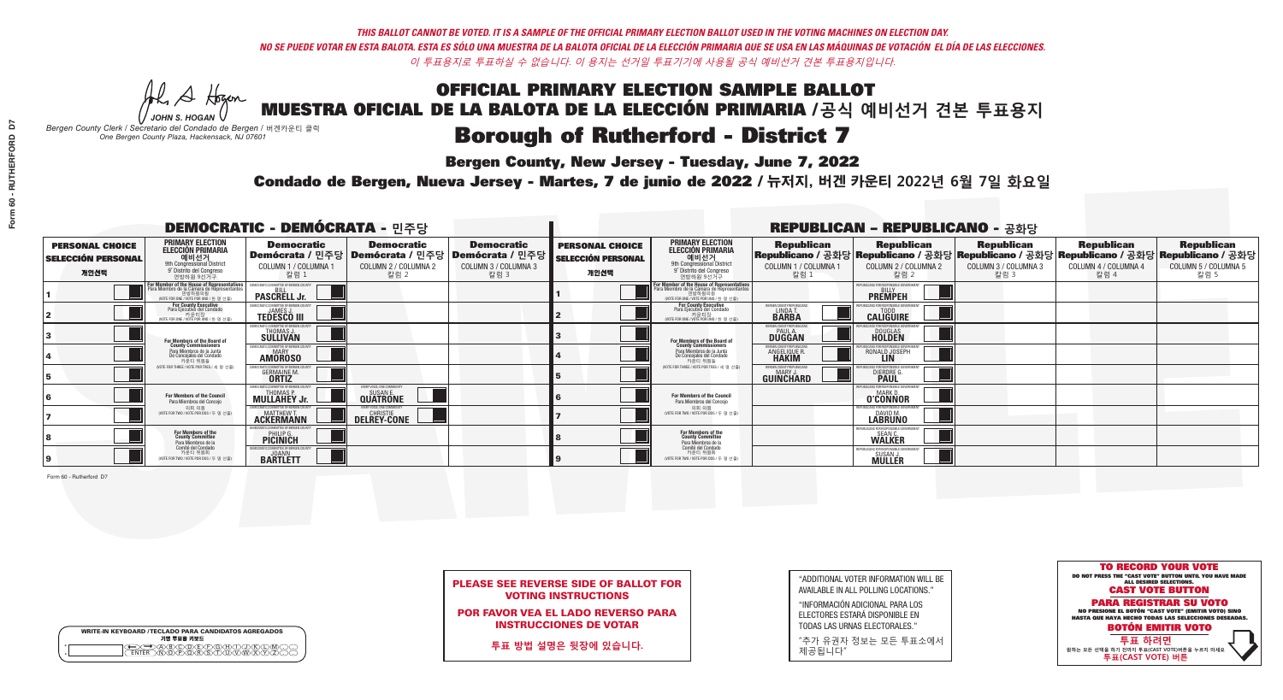A Hogen *JOHN S. HOGAN*

| <b>WRITE-IN KEYBOARD /TECLADO PARA CANDIDATOS AGREGADOS</b><br>기명 투표용 키보드 |
|---------------------------------------------------------------------------|
| .)(B)C)(D)(E)(F)(G)(H)(T)(<br><u>እቅነሽነጅ የአገ</u>                           |

### **Borough of Rutherford - District 7**

**Bergen County, New Jersey - Tuesday, June 7, 2022** 

*Bergen County Clerk / Secretario del Condado de Bergen /* 버겐카운티 클럭 *One Bergen County Plaza, Hackensack, NJ 07601*



PLEASE SEE REVERSE SIDE OF BALLOT FOR VOTING INSTRUCTIONS

POR FAVOR VEA EL LADO REVERSO PARA INSTRUCCIONES DE VOTAR

**투표 방법 설명은 뒷장에 있습니다.**

"ADDITIONAL VOTER INFORMATION WILL BE AVAILABLE IN ALL POLLING LOCATIONS."

"INFORMACIÓN ADICIONAL PARA LOS ELECTORES ESTARÁ DISPONIBLE EN TODAS LAS URNAS ELECTORALES."

"추가 유권자 정보는 모든 투표소에서 제공됩니다"

Condado de Bergen, Nueva Jersey - Martes, 7 de junio de 2022 / 뉴저지, 버겐 카운티 2022년 6월 7일 화요일 *One Bergen County Plaza, Hackensack, NJ 07601*

|                                                             |                                                                                                                                                       | <b>DEMOCRATIC - DEMÓCRATA - 민주당</b>                                                   |                                                   |                                                                      |                                                             | <b>REPUBLICAN - REPUBLICANO - 공화당</b>                                                                                                                 |                                                            |                                                                  |                                                                                                                                                |                                                   |                                                   |  |
|-------------------------------------------------------------|-------------------------------------------------------------------------------------------------------------------------------------------------------|---------------------------------------------------------------------------------------|---------------------------------------------------|----------------------------------------------------------------------|-------------------------------------------------------------|-------------------------------------------------------------------------------------------------------------------------------------------------------|------------------------------------------------------------|------------------------------------------------------------------|------------------------------------------------------------------------------------------------------------------------------------------------|---------------------------------------------------|---------------------------------------------------|--|
| <b>PERSONAL CHOICE</b><br><b>SELECCIÓN PERSONAL</b><br>개인선택 | <b>PRIMARY ELECTION</b><br><b>ELECCIÓN PRIMARIA</b><br>예비선거<br>애비선거<br>9° Distrito del Congreso<br>연방하원 9선거구                                          | <b>Democratic</b><br>│Demócrata / 민주당│Demócrata / 민주당<br>COLUMN 1 / COLUMNA 1<br>칼럼 1 | <b>Democratic</b><br>COLUMN 2 / COLUMNA 2<br>찰럼 2 | <b>Democratic</b><br>Demócrata / 민주당<br>COLUMN 3 / COLUMNA 3<br>칼럼 3 | <b>PERSONAL CHOICE</b><br><b>SELECCIÓN PERSONAL</b><br>개인선택 | <b>PRIMARY ELECTION</b><br>ELECCIÓN PRIMARIA<br>예비선거<br>9th Congressional District<br>9° Distrito del Congreso<br>연방하원 9선거구                           | <b>Republican</b><br>COLUMN 1 / COLUMNA 1<br>- 칼럼 1        | <b>Republican</b><br>COLUMN 2 / COLUMNA 2<br>-칼럼 2               | <b>Republican</b><br>Republicano / 공화당 Republicano / 공화당 Republicano / 공화당 Republicano / 공화당 Republicano / 공화당<br>COLUMN 3 / COLUMNA 3<br>칼럼 3 | <b>Republican</b><br>COLUMN 4 / COLUMNA 4<br>칼럼 4 | <b>Republican</b><br>COLUMN 5 / COLUMNA 5<br>칼럼 5 |  |
|                                                             | <b>For Member of the House of Representatives<br/>Para Miembro de la Cámara de Representantes</b><br>연방하원의원<br>(VOTE FOR ONE / VOTE POR UNO / 한 명 선출) | EMOCRATIC COMMITTEE OF BERGEN COUNTY<br><b>PASCRELL Jr.</b>                           |                                                   |                                                                      |                                                             | <b>For Member of the House of Representatives<br/>Para Miembro de la Cámara de Representantes</b><br>연방하원의원<br>(VOTE FOR ONE / VOTE POR UNO / 한 명 선출) |                                                            | PUBLICANS FOR RESPONSIBLE GOVERNME!<br><b>PREMPEH</b>            |                                                                                                                                                |                                                   |                                                   |  |
|                                                             | For County Executive<br>Para Ejecutivo del Condado<br>가운티장<br>(VOTE FOR ONE / VOTE POR UNO / 한 명 선출)                                                  | EMOCRATIC COMMITTEE OF BERGEN COUNTY<br><b>TEDESCO III</b>                            |                                                   |                                                                      |                                                             | For County Executive<br>Para Ejecutivo del Condado<br>. 카운티장<br>(VOTE FOR ONE / VOTE POR UNO / 한 명 선출)                                                | BERGEN COUNTY REPUBLICAN<br>LINDAT.                        | <b>CALIGUIRE</b>                                                 |                                                                                                                                                |                                                   |                                                   |  |
|                                                             | For Members of the Board of<br>County Commissioners                                                                                                   | MOCRATIC COMMITTEE OF BERGEN COL'<br>THOMAS J.                                        |                                                   |                                                                      |                                                             | For Members of the Board of<br>County Commissioners                                                                                                   | ERGEN COUNTY REPUBLICAL<br><b>PAUL A.</b><br><b>DUGGAN</b> | DOUGLAS<br>HOLDEN                                                |                                                                                                                                                |                                                   |                                                   |  |
|                                                             | Para Miembros de la Junta<br>De Concejales del Condado<br>카우티 위원들                                                                                     | EMOCRATIC COMMITTEE OF BERGEN COUNTY<br><b>MARY</b><br><b>AMOROSO</b>                 |                                                   |                                                                      |                                                             | Para Miembros de la Junta<br>De Concejales del Condado<br>카운티 위원들                                                                                     | <b>RGEN COUNTY REPUBLICAN</b><br>ANGELIQUE R               | RONALD JOSEPH                                                    |                                                                                                                                                |                                                   |                                                   |  |
|                                                             | NOTE FOR THREE / VOTE POR TRES / 세 명 선출)                                                                                                              | RATIC COMMITTEE OF BERGEN C<br><b>GERMAINE M</b><br><b>ORTIZ</b>                      |                                                   |                                                                      |                                                             | WOTE FOR THREE / VOTE POR TRES / 세 명 선출                                                                                                               | <b>FRGEN COUNTY REPUBLICANS</b><br>MARY.<br>GUINCHARD      | <b>DIERDRE L</b>                                                 |                                                                                                                                                |                                                   |                                                   |  |
|                                                             | For Members of the Council<br>Para Miembros del Conceio                                                                                               | <b>MULLAHEY Jr.</b>                                                                   | <b>QUATRONE</b>                                   |                                                                      |                                                             | <b>For Members of the Council</b><br>Para Miembros del Conceio                                                                                        |                                                            | 'HRI ICANS ENR RESPONSIRI E (<br><b>MARKI</b><br><b>O'CONNOR</b> |                                                                                                                                                |                                                   |                                                   |  |
|                                                             | 의회 의원<br>(VOTE FOR TWO / VOTE POR DOS / 두 명 선출)                                                                                                       | <b>ACKERMANN</b>                                                                      | <b>DELREY-CONE</b>                                |                                                                      |                                                             | 의회 의원<br>WOTE FOR TWO / VOTE POR DOS / 두 명 선출)                                                                                                        |                                                            | EPUBLICANS FOR RESPONSIBLE GO<br>DAVID M.<br>LABRUNO             |                                                                                                                                                |                                                   |                                                   |  |
|                                                             | For Members of the<br>County Committee<br>Para Miembros de la<br>Comité del Condado                                                                   | PHILIP G.                                                                             |                                                   |                                                                      |                                                             | For Members of the<br>County Committee<br>Para Miembros de la<br>Comité del Condado                                                                   |                                                            | <b>FPUBLICANS FOR RESPONSIBLE</b><br>SEAN C.<br><b>WALKER</b>    |                                                                                                                                                |                                                   |                                                   |  |
|                                                             | 카운티 위원회<br>(VOTE FOR TWO / VOTE POR DOS / 두 명 선출)                                                                                                     | EMOCRATIC COMMITTEE OF BERGEN COUNT<br><b>BARTLETT</b>                                |                                                   |                                                                      |                                                             | 카운티 위원회<br>WOTE FOR TWO / VOTE POR DOS / 두 명 선출)                                                                                                      |                                                            | PUBLICANS FOR RESPONSIBLE<br>SUSAN J.<br><b>MULLER</b>           |                                                                                                                                                |                                                   |                                                   |  |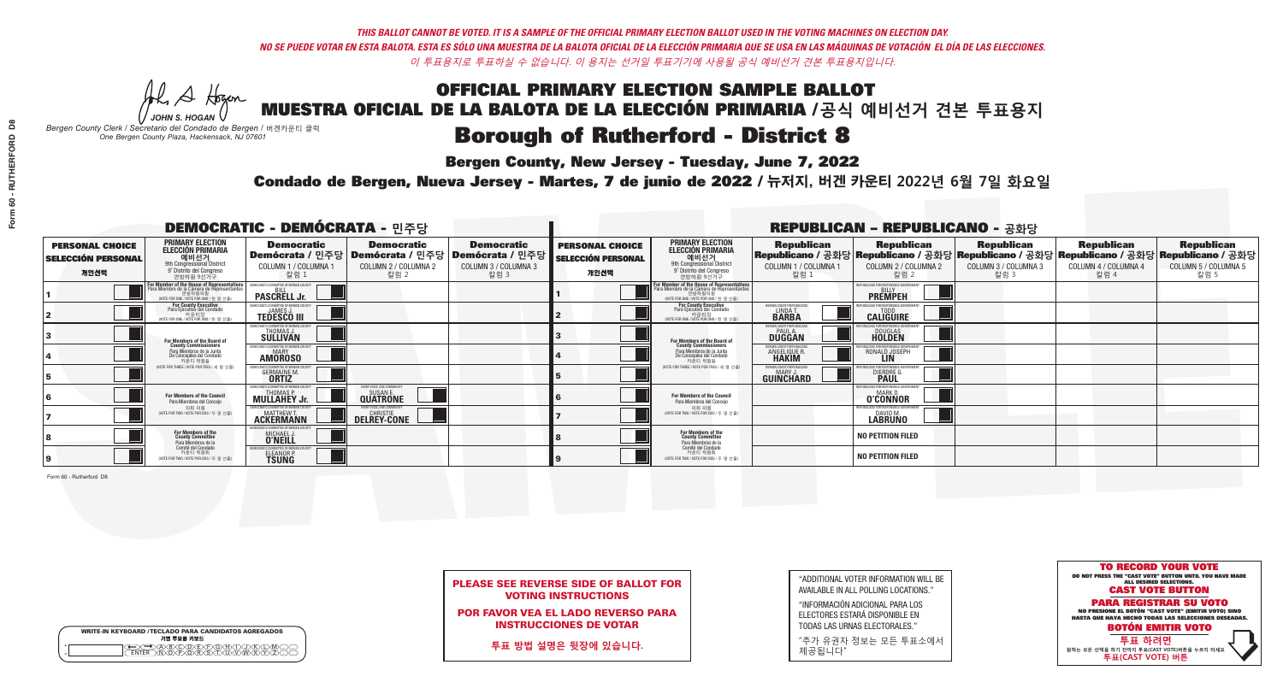### **Bergen County, New Jersey - Tuesday, June 7, 2022**

A Hogen *JOHN S. HOGAN*

|   | <b>WRITE-IN KEYBOARD /TECLADO PARA CANDIDATOS AGREGADOS</b><br>기명 투표용 키보드 |
|---|---------------------------------------------------------------------------|
| o | .)B)C)DE)F)G)H)                                                           |
| o | <u>እጅአል አል</u>                                                            |

*Bergen County Clerk / Secretario del Condado de Bergen /* 버겐카운티 클럭 *One Bergen County Plaza, Hackensack, NJ 07601*

### Condado de Bergen, Nueva Jersey - Martes, 7 de junio de 2022 / 뉴저지, 버겐 카운티 2022년 6월 7일 화요일 *One Bergen County Plaza, Hackensack, NJ 07601*



### PLEASE SEE REVERSE SIDE OF BALLOT FOR VOTING INSTRUCTIONS

POR FAVOR VEA EL LADO REVERSO PARA INSTRUCCIONES DE VOTAR

**투표 방법 설명은 뒷장에 있습니다.**

"ADDITIONAL VOTER INFORMATION WILL BE AVAILABLE IN ALL POLLING LOCATIONS."

"INFORMACIÓN ADICIONAL PARA LOS ELECTORES ESTARÁ DISPONIBLE EN TODAS LAS URNAS ELECTORALES."

"추가 유권자 정보는 모든 투표소에서 제공됩니다"

|                                                             |                                                                                                                                               | <b>DEMOCRATIC - DEMÓCRATA - 민주당</b>                                                  |                                                   |                                                                                                      | <b>REPUBLICAN - REPUBLICANO - 공화당</b>                       |                                                                                                                                               |                                                           |                                                                                                                                                |                                                   |                                                   |                                                   |  |
|-------------------------------------------------------------|-----------------------------------------------------------------------------------------------------------------------------------------------|--------------------------------------------------------------------------------------|---------------------------------------------------|------------------------------------------------------------------------------------------------------|-------------------------------------------------------------|-----------------------------------------------------------------------------------------------------------------------------------------------|-----------------------------------------------------------|------------------------------------------------------------------------------------------------------------------------------------------------|---------------------------------------------------|---------------------------------------------------|---------------------------------------------------|--|
| <b>PERSONAL CHOICE</b><br><b>SELECCIÓN PERSONAL</b><br>개인선택 | <b>PRIMARY ELECTION</b><br><b>ELECCIÓN PRIMARIA</b><br>예비선거<br>애 Omyressional District<br>9° Distrito del Congreso<br>연방하원 9선거구               | <b>Democratic</b><br>COLUMN 1 / COLUMNA 1<br>칼럼 :                                    | <b>Democratic</b><br>COLUMN 2 / COLUMNA 2<br>칼럼 2 | <b>Democratic</b><br>Demócrata / 민주당 Demócrata / 민주당 Demócrata / 민주당<br>COLUMN 3 / COLUMNA 3<br>칼럼 3 | <b>PERSONAL CHOICE</b><br><b>SELECCIÓN PERSONAL</b><br>개인선택 | <b>PRIMARY ELECTION</b><br>ELECCIÓN PRIMARIA<br>9th Congressional District<br>9° Distrito del Congreso<br>연방하원 9선거구                           | <b>Republican</b><br>COLUMN 1 / COLUMNA 1<br>칼럼           | <b>Republican</b><br>Republicano / 공화당 Republicano / 공화당 Republicano / 공화당 Republicano / 공화당 Republicano / 공화당<br>COLUMN 2 / COLUMNA 2<br>칼럼 2 | <b>Republican</b><br>COLUMN 3 / COLUMNA 3<br>칼럼 3 | <b>Republican</b><br>COLUMN 4 / COLUMNA 4<br>칼럼 4 | <b>Republican</b><br>COLUMN 5 / COLUMNA 5<br>칼럼 5 |  |
|                                                             | For Member of the House of Representatives<br>Para Miembro de la Cámara de Representantes<br>연방하원의원<br>(VOTE FOR ONE / VOTE POR UNO / 한 명 선출) | <b>PASCRELL Jr.</b>                                                                  |                                                   |                                                                                                      |                                                             | For Member of the House of Representatives<br>Para Miembro de la Cámara de Representantes<br>연방하원의원<br>(VOTE FOR ONE / VOTE POR UNO / 한 명 선출) |                                                           | PUBLICANS FOR RESPONSIBLE GOVERN<br><b>PREMPEH</b>                                                                                             |                                                   |                                                   |                                                   |  |
|                                                             | For County Executive<br>Para Ejecutivo del Condado<br>(VOTE FOR ONE / VOTE POR UNO / 한 명 선출)                                                  | JEMOCRATIC COMMITTEE OF BERGEN (<br><b>TEDESCO III</b>                               |                                                   |                                                                                                      |                                                             | For County Executive<br>Para Ejecutivo del Condado<br>카운티장<br>(VOTE FOR ONE / VOTE POR UNO / 한 명 선출)                                          | BERGEN COUNTY REPUBLICA<br>LINDA T.                       | <b>CALIGUIRE</b>                                                                                                                               |                                                   |                                                   |                                                   |  |
|                                                             | For Members of the Board of<br>County Commissioners                                                                                           | IOCRATIC COMMITTEE OF BERGEN COUN'<br><b>THOMAS J.</b><br><b>SULLIVAN</b>            |                                                   |                                                                                                      |                                                             | For Members of the Board of<br>County Commissioners                                                                                           | ERGEN COUNTY REPUBLICA<br><b>PAUL A.</b><br><b>DUGGAN</b> | <b>DOUGLAS</b>                                                                                                                                 |                                                   |                                                   |                                                   |  |
|                                                             | Para Miembros de la Junta<br>De Concejales del Condado<br>카운티 위원들                                                                             | <b><i>AOCRATIC COMMITTEE OF BERGEN COUNTY</i></b><br><b>AMOROSO</b>                  |                                                   |                                                                                                      |                                                             | Para Miembros de la Junta<br>De Concejales del Condado<br>카우티 위원들                                                                             | ERGEN COUNTY REPUBLICA!<br>ANGELIQUE R                    | RONALD JOSEPH                                                                                                                                  |                                                   |                                                   |                                                   |  |
|                                                             | NOTE FOR THREE / VOTE POR TRES / 세 명 선출)                                                                                                      | <b>TIC COMMITTEE OF BERGEN O</b><br><b>GERMAINE M.</b>                               |                                                   |                                                                                                      |                                                             | NOTE FOR THREE / VOTE POR TRES / 세 명 선출)                                                                                                      | ERGEN COUNTY REPUBLICANS<br><b>MARY J</b><br>GUINCHARD    | DIERDRE G                                                                                                                                      |                                                   |                                                   |                                                   |  |
|                                                             | For Members of the Council<br>Para Miembros del Conceio                                                                                       | <b>MULLAHEY Jr.</b>                                                                  | EVERY VOICE, ONE COMMUNIT<br><b>QUATRONE</b>      |                                                                                                      |                                                             | For Members of the Council<br>Para Miembros del Conceio                                                                                       |                                                           | : FOR RESPONSIBI E G(<br><b>MARKD</b><br><b>O'CONNOR</b>                                                                                       |                                                   |                                                   |                                                   |  |
|                                                             | 의회 의원<br>(VOTE FOR TWO / VOTE POR DOS / 두 명 선출)                                                                                               | <b>FMOCRATIC COMMITTEE OF BEBGEN COUNTY</b><br><b>MATTHEW T.</b><br><b>ACKERMANN</b> | VERY VOICE ONE COMMUNITY<br><b>DELREY-CONE</b>    |                                                                                                      |                                                             | 의회 의원<br>(VOTE FOR TWO / VOTE POR DOS / 두 명 선출)                                                                                               |                                                           | PUBLICANS FOR RESPONSIBLE GOV<br>DAVID M.                                                                                                      |                                                   |                                                   |                                                   |  |
|                                                             | For Members of the<br>County Committee<br>Para Miembros de la<br>Comité del Condado                                                           | MICHAEL J.                                                                           |                                                   |                                                                                                      |                                                             | For Members of the<br>County Committee<br>Para Miembros de la<br>Comité del Condado                                                           |                                                           | <b>NO PETITION FILED</b>                                                                                                                       |                                                   |                                                   |                                                   |  |
|                                                             | 카운티 위원회<br>(VOTE FOR TWO / VOTE POR DOS / 두 명 선출)                                                                                             | IOCRATIC COMMITTEE OF RERGEN C<br>ELEANOR P.                                         |                                                   |                                                                                                      |                                                             | 카운티 위원회<br>(VOTE FOR TWO / VOTE POR DOS / 두 명 선출)                                                                                             |                                                           | <b>NO PETITION FILED</b>                                                                                                                       |                                                   |                                                   |                                                   |  |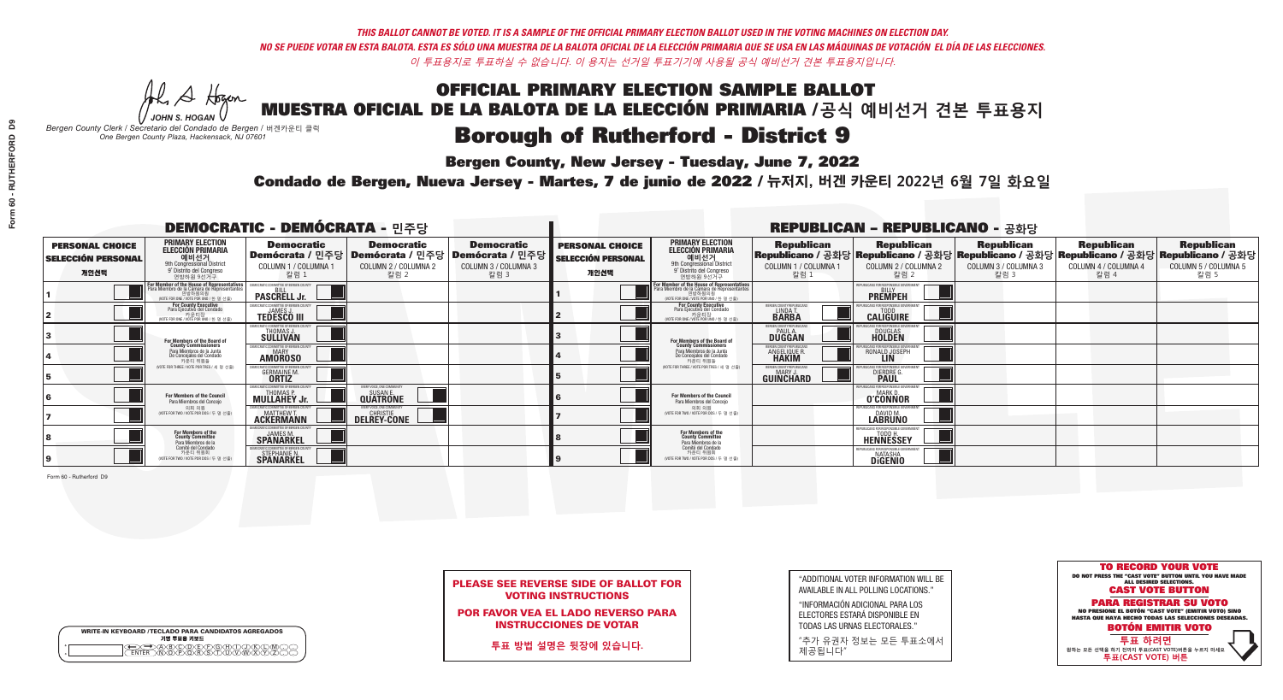A Hogen *JOHN S. HOGAN*

| <b>WRITE-IN KEYBOARD /TECLADO PARA CANDIDATOS AGREGADOS</b><br>기명 투표용 키보드 |  |
|---------------------------------------------------------------------------|--|
| )ABODDFGAN<br>៶៳៑៳ឝ៶៳៑៓ឨ៶ឨ៶ឨ៶                                             |  |

# OFFICIAL PRIMARY ELECTION SAMPLE BALLOT

MUESTRA OFICIAL DE LA BALOTA DE LA ELECCIÓN PRIMARIA /**공식 예비선거 견본 투표용지**

*Bergen County Clerk / Secretario del Condado de Bergen /* 버겐카운티 클럭 *One Bergen County Plaza, Hackensack, NJ 07601*

### **Borough of Rutherford - District 9**

**Bergen County, New Jersey - Tuesday, June 7, 2022** 



PLEASE SEE REVERSE SIDE OF BALLOT FOR VOTING INSTRUCTIONS

POR FAVOR VEA EL LADO REVERSO PARA INSTRUCCIONES DE VOTAR

**투표 방법 설명은 뒷장에 있습니다.**

"ADDITIONAL VOTER INFORMATION WILL BE AVAILABLE IN ALL POLLING LOCATIONS."

"INFORMACIÓN ADICIONAL PARA LOS ELECTORES ESTARÁ DISPONIBLE EN TODAS LAS URNAS ELECTORALES."

"추가 유권자 정보는 모든 투표소에서 제공됩니다"

Condado de Bergen, Nueva Jersey - Martes, 7 de junio de 2022 / 뉴저지, 버겐 카운티 2022년 6월 7일 화요일 *One Bergen County Plaza, Hackensack, NJ 07601*

|                                                             |                                                                                                                                                          | <b>DEMOCRATIC - DEMÓCRATA - 민주당</b>                                                   |                                                   |                                                                      | <b>REPUBLICAN - REPUBLICANO - 공화당</b>                       |                                                                                                                                               |                                                            |                                                                                                                                                |                                                   |                                                   |                                                   |
|-------------------------------------------------------------|----------------------------------------------------------------------------------------------------------------------------------------------------------|---------------------------------------------------------------------------------------|---------------------------------------------------|----------------------------------------------------------------------|-------------------------------------------------------------|-----------------------------------------------------------------------------------------------------------------------------------------------|------------------------------------------------------------|------------------------------------------------------------------------------------------------------------------------------------------------|---------------------------------------------------|---------------------------------------------------|---------------------------------------------------|
| <b>PERSONAL CHOICE</b><br><b>SELECCIÓN PERSONAL</b><br>개인선택 | <b>PRIMARY ELECTION</b><br><b>ELECCIÓN PRIMARIA</b><br>애비선거<br><sub>9th</sub> Congressional District<br><sup>9'</sup> Distrito del Congreso<br>연방하원 9선거구 | <b>Democratic</b><br>│Demócrata / 민주당│Demócrata / 민주당<br>COLUMN 1 / COLUMNA 1<br>칼럼 1 | <b>Democratic</b><br>COLUMN 2 / COLUMNA 2<br>칼럼 2 | <b>Democratic</b><br>Demócrata / 민주당<br>COLUMN 3 / COLUMNA 3<br>칼럼 3 | <b>PERSONAL CHOICE</b><br><b>SELECCIÓN PERSONAL</b><br>개인선택 | <b>PRIMARY ELECTION</b><br><b>ELECCIÓN PRIMARIA</b><br>예비선거<br>9th Congressional District<br>9° Distrito del Congreso<br>연방하워 9선거구            | <b>Republican</b><br>COLUMN 1 / COLUMNA 1<br>- 칼럼 1        | <b>Republican</b><br>Republicano / 공화당 Republicano / 공화당 Republicano / 공화당 Republicano / 공화당 Republicano / 공화당<br>COLUMN 2 / COLUMNA 2<br>참럼 2 | <b>Republican</b><br>COLUMN 3 / COLUMNA 3<br>칼럼 3 | <b>Republican</b><br>COLUMN 4 / COLUMNA 4<br>칼럼 4 | <b>Republican</b><br>COLUMN 5 / COLUMNA 5<br>칼럼 5 |
|                                                             | For Member of the House of Representatives<br>Para Miembro de la Cámara de Representantes<br>연방하원의원<br>(VOTE FOR ONE / VOTE POR UNO / 한 명 선출)            | DEMOCRATIC COMMITTEE OF BERGEN COUNTY<br><b>PASCRELL Jr.</b>                          |                                                   |                                                                      |                                                             | For Member of the House of Representatives<br>Para Miembro de la Cámara de Representantes<br>연방하원의원<br>(VOTE FOR ONE / VOTE POR UNO / 한 명 선출) |                                                            | PUBLICANS FOR RESPONSIBLE GOVERNMEN<br><b>PREMPEH</b>                                                                                          |                                                   |                                                   |                                                   |
|                                                             | For County Executive<br>Para Ejecutivo del Condado<br>WOTE FOR ONE / VOTE POR UNO / 한 명 선출)                                                              | EMOCRATIC COMMITTEE OF BERGEN COUNTY<br><b>TEDESCO III</b>                            |                                                   |                                                                      |                                                             | For County Executive<br>Para Ejecutivo del Condado<br>. 카운티장<br>(VOTE FOR ONE / VOTE POR UNO / 한 명 선출)                                        | BERGEN COUNTY REPUBLICAN<br>LINDAT.                        | <b>CALIGUIRE</b>                                                                                                                               |                                                   |                                                   |                                                   |
|                                                             | For Members of the Board of<br>County Commissioners                                                                                                      | EMOCRATIC COMMITTEE OF BERGEN COUN'<br>THOMAS J.                                      |                                                   |                                                                      |                                                             | For Members of the Board of<br>County Commissioners                                                                                           | ERGEN COUNTY REPUBLICAN<br><b>PAUL A.</b><br><b>DUGGAN</b> | DOUGLAS<br>HOLDEN                                                                                                                              |                                                   |                                                   |                                                   |
|                                                             | Para Miembros de la Junta<br>De Concejales del Condado<br>카운티 위원들                                                                                        | MOCRATIC COMMITTEE OF BERGEN COUNT<br><b>MARY</b><br><b>AMOROSO</b>                   |                                                   |                                                                      |                                                             | Para Miembros de la Junta<br>De Concejales del Condado<br>카운티 위원들                                                                             | ERGEN COUNTY REPUBLICAN<br>ANGELIQUE R.                    | : ENR RESPANSIRI E GAI<br>RONALD JOSEPH                                                                                                        |                                                   |                                                   |                                                   |
|                                                             | NOTE FOR THREE / VOTE POR TRES / 세 명 선출)                                                                                                                 | OCRATIC COMMITTEE OF BEBGEN CO<br><b>GERMAINE M</b><br><b>ORTIZ</b>                   |                                                   |                                                                      |                                                             | NOTE FOR THREE / VOTE POR TRES / 세 명 선출                                                                                                       | ERGEN COUNTY REPUBLICANS<br>MARY.<br>GUINCHARD             | FOR RESPONSIBLE O<br><b>DIERDRE</b>                                                                                                            |                                                   |                                                   |                                                   |
|                                                             | For Members of the Council<br>Para Miembros del Concejo                                                                                                  | <b>MULLAHEY Jr.</b>                                                                   | VERY VOICE, ONE COMMUNITY<br><b>QUATRONE</b>      |                                                                      |                                                             | For Members of the Council<br>Para Miembros del Concejo                                                                                       |                                                            | <b>O'CONNOR</b>                                                                                                                                |                                                   |                                                   |                                                   |
|                                                             | 의회 의원<br>(VOTE FOR TWO / VOTE POR DOS / 두 명 선출)                                                                                                          | <b>ACKERMANN</b>                                                                      | <b>DELREY-CONE</b>                                |                                                                      |                                                             | 의회 의원<br>NOTE FOR TWO / VOTE POR DOS / 두 명 선출)                                                                                                |                                                            | PUBLICANS FOR RESPONSIBLE GOVE<br><b>LABRUNO</b>                                                                                               |                                                   |                                                   |                                                   |
|                                                             | For Members of the<br>County Committee<br>Para Miembros de la<br>Comité del Condado                                                                      | <b>SPANARKEL</b>                                                                      |                                                   |                                                                      |                                                             | For Members of the<br>County Committee<br>Para Miembros de la<br>Comité del Condado                                                           |                                                            | REPUBLICANS FOR RESPONSIBLE GOVER!<br><b>HENNESSEY</b>                                                                                         |                                                   |                                                   |                                                   |
|                                                             | 카운티 위원회<br>(VOTE FOR TWO / VOTE POR DOS / 두 명 선출)                                                                                                        | STEPHANIE N.                                                                          |                                                   |                                                                      |                                                             | 카운티 위원회<br>(VOTE FOR TWO / VOTE POR DOS / 두 명 선출)                                                                                             |                                                            | PUBLICANS FOR RESPONSIBLE GOVERNMENT<br><b>NATASHA</b><br><b>DIGENIO</b>                                                                       |                                                   |                                                   |                                                   |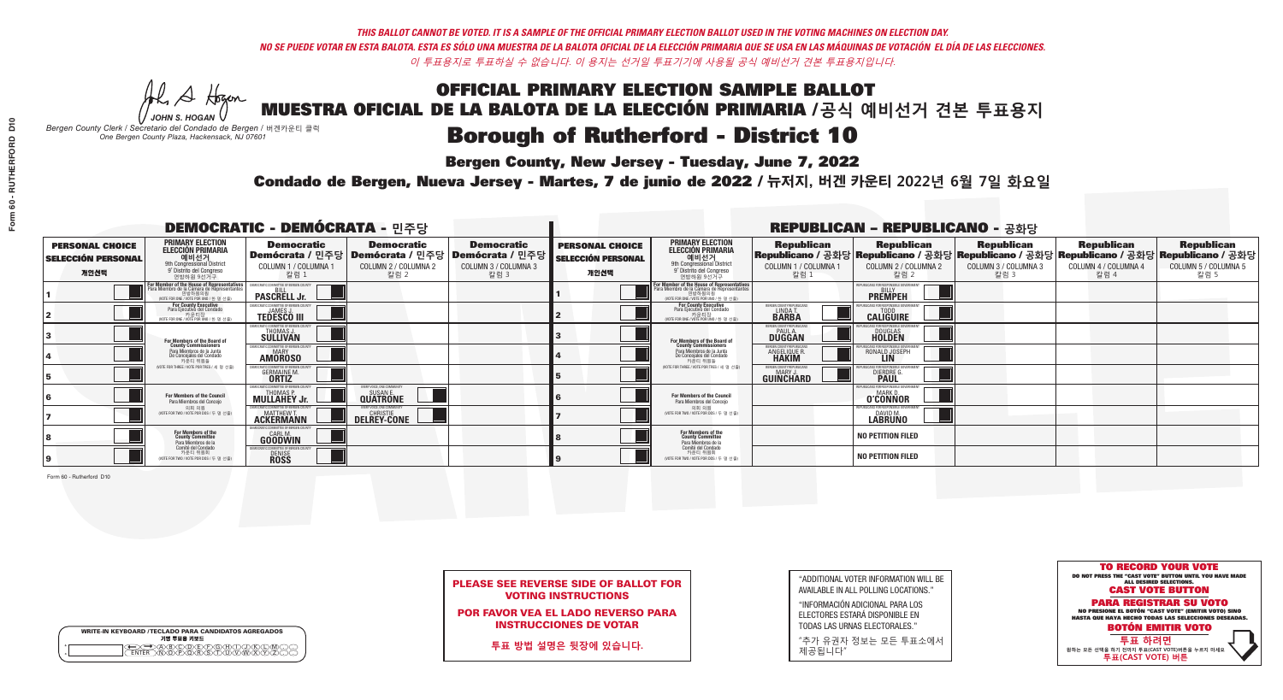A Hogen

**Bergen County, New Jersey - Tuesday, June 7, 2022** 

| <b>WRITE-IN KEYBOARD /TECLADO PARA CANDIDATOS AGREGADOS</b><br>기명 투표용 키보드 |  |
|---------------------------------------------------------------------------|--|
| )(B)C)(D)(E)(F)(G)(H)(<br>o<br>ほうぶる<br>$\circ$                            |  |

*JOHN S. HOGAN Bergen County Clerk / Secretario del Condado de Bergen /* 버겐카운티 클럭 *One Bergen County Plaza, Hackensack, NJ 07601*

Condado de Bergen, Nueva Jersey - Martes, 7 de junio de 2022 / 뉴저지, 버겐 카운티 2022년 6월 7일 화요일 *One Bergen County Plaza, Hackensack, NJ 07601*



PLEASE SEE REVERSE SIDE OF BALLOT FOR VOTING INSTRUCTIONS

POR FAVOR VEA EL LADO REVERSO PARA INSTRUCCIONES DE VOTAR

**투표 방법 설명은 뒷장에 있습니다.**

| "ADDITIONAL VOTER INFORMATION WILL BE |
|---------------------------------------|
| AVAILABLE IN ALL POLLING LOCATIONS."  |

"INFORMACIÓN ADICIONAL PARA LOS ELECTORES ESTARÁ DISPONIBLE EN TODAS LAS URNAS ELECTORALES."

"추가 유권자 정보는 모든 투표소에서 제공됩니다"

|                                                             |                                                                                                                                               | <b>DEMOCRATIC - DEMÓCRATA - 민주당</b>                                                      |                                                   |                                                                      | <b>REPUBLICAN - REPUBLICANO - 공화당</b>                       |                                                                                                                                              |                                                                      |                                                                                                                                                  |                                                   |                                                   |                                                   |
|-------------------------------------------------------------|-----------------------------------------------------------------------------------------------------------------------------------------------|------------------------------------------------------------------------------------------|---------------------------------------------------|----------------------------------------------------------------------|-------------------------------------------------------------|----------------------------------------------------------------------------------------------------------------------------------------------|----------------------------------------------------------------------|--------------------------------------------------------------------------------------------------------------------------------------------------|---------------------------------------------------|---------------------------------------------------|---------------------------------------------------|
| <b>PERSONAL CHOICE</b><br><b>SELECCIÓN PERSONAL</b><br>개인선택 | <b>PRIMARY ELECTION</b><br>ELECCIÓN PRIMARIA<br>예비선거<br><sup>예비선거</sup><br><sup>9</sup> Distrito del Congreso<br>연방하원 9선거구                    | <b>Democratic</b><br>  Demócrata / 민주당   Demócrata / 민주당<br>COLUMN 1 / COLUMNA 1<br>칼럼 1 | <b>Democratic</b><br>COLUMN 2 / COLUMNA 2<br>칼럼 2 | <b>Democratic</b><br>Demócrata / 민주당<br>COLUMN 3 / COLUMNA 3<br>칼럼 3 | <b>PERSONAL CHOICE</b><br><b>SELECCIÓN PERSONAL</b><br>개인선택 | <b>PRIMARY ELECTION</b><br>ELECCIÓN PRIMARIA<br>예비선거<br><sup>9th</sup> Congressional District<br>9° Distrito del Congreso<br>연방하원 9선거구       | <b>Republican</b><br>COLUMN 1 / COLUMNA 1<br>칼럼 1                    | <b>Republican</b><br>Republicano / 공화당 Republicano / 공화당 Republicano / 공화당 Republicano / 공화당 Republicano / 공화당<br>COLUMN 2 / COLUMNA 2<br>_ 칼럼 2 | <b>Republican</b><br>COLUMN 3 / COLUMNA 3<br>칼럼 3 | <b>Republican</b><br>COLUMN 4 / COLUMNA 4<br>칼럼 4 | <b>Republican</b><br>COLUMN 5 / COLUMNA 5<br>칼럼 5 |
|                                                             | For Member of the House of Representatives<br>Para Miembro de la Cámara de Representantes<br>연방하원의원<br>(VOTE FOR ONE / VOTE POR UNO / 한 명 선출) | DEMOCRATIC COMMITTEE OF BERGEN COUNTY<br><b>PASCRELL Jr.</b>                             |                                                   |                                                                      |                                                             | For Member of the House of Representatives<br>Para Miembro de la Cámara de Representantes<br>연방하원의원<br>(VOTE FOR ONE / VOTE POR UNO / 한 명 선출 |                                                                      | PUBLICANS FOR RESPONSIBLE GOVERNMEN<br><b>PREMPEH</b>                                                                                            |                                                   |                                                   |                                                   |
|                                                             | For County Executive<br>Para Ejecutivo del Condado<br>가운티장<br>(VOTE FOR ONE / VOTE POR UNO / 한 명 선출)                                          | EMOCRATIC COMMITTEE OF BERGEN COUNTY<br><b>TEDESCO III</b>                               |                                                   |                                                                      |                                                             | <b>For County Executive</b><br>Para Ejecutivo del Condado<br>. 카운티장<br>(VOTE FOR ONE / VOTE POR UNO / 한 명 선출)                                | BERGEN COUNTY REPUBLICAN<br><b>LINDAT</b><br><b>BARBA</b>            | <b>CALIGUIRE</b>                                                                                                                                 |                                                   |                                                   |                                                   |
|                                                             | For Members of the Board of<br>County Commissioners                                                                                           | MOCRATIC COMMITTEE OF BERGEN COUNTY<br>THOMAS J.                                         |                                                   |                                                                      |                                                             | For Members of the Board of<br>County Commissioners                                                                                          | ERGEN COUNTY REPUBLICAN<br><b>PAUL A.</b><br><b>DUGGAN</b>           | DOUGLAS<br>HOLDEN                                                                                                                                |                                                   |                                                   |                                                   |
|                                                             | Para Miembros de la Junta<br>De Concejales del Condado<br>카우티 위원들                                                                             | MOCRATIC COMMITTEE OF BERGEN COUNTY<br><b>MARY</b><br><b>AMOROSO</b>                     |                                                   |                                                                      |                                                             | Para Miembros de la Junta<br>De Concejales del Condado<br>카운티 위원들                                                                            | <b>RGEN COUNTY REPUBLICAN:</b><br><b>ANGELIQUE R</b><br><b>HAKIM</b> | RONALD JOSEPH                                                                                                                                    |                                                   |                                                   |                                                   |
|                                                             | (VOTE FOR THREE / VOTE POR TRES / 세 명 선출)                                                                                                     | <i>A</i> OCRATIC COMMITTEE OF BERGEN COL<br><b>GERMAINE M.</b><br><b>ORTIZ</b>           |                                                   |                                                                      |                                                             | (VOTE FOR THREE / VOTE POR TRES / 세 명 선출                                                                                                     | BERGEN COUNTY REPUBLICANS<br>MARY J<br>GUINCHARD                     | <b>FOR RESPONSIBLE GO</b><br><b>DIERDRE</b>                                                                                                      |                                                   |                                                   |                                                   |
|                                                             | For Members of the Council<br>Para Miembros del Concejo                                                                                       | EMOCRATIC COMMITTEE OF BERGEN CO<br><b>MULLAHEY Jr.</b>                                  | :VERY VOICE. ONE COMMUNITY<br><b>QUATRONE</b>     |                                                                      |                                                             | For Members of the Council<br>Para Miembros del Concejo                                                                                      |                                                                      | 'UBI ICANS FOR RESPONSIBI E GO<br><b>O'CONNOR</b>                                                                                                |                                                   |                                                   |                                                   |
|                                                             | 의회 의원<br>(VOTE FOR TWO / VOTE POR DOS / 두 명 선출)                                                                                               | EMOCRATIC COMMITTEE OF BERGEN COUNTY<br><b>ACKERMANN</b>                                 | <b>DELREY-CONE</b>                                |                                                                      |                                                             | 의회 의원<br>(VOTE FOR TWO / VOTE POR DOS / 두 명 선출)                                                                                              |                                                                      | EPUBLICANS FOR RESPONSIBLE GOVERNMEN<br>DAVID M.                                                                                                 |                                                   |                                                   |                                                   |
|                                                             | For Members of the<br>County Committee<br>Para Miembros de la<br>Comité del Condado                                                           | MOCRATIC COMMITTEE OF BERGEN COUNT<br><b>GOODWIN</b>                                     |                                                   |                                                                      |                                                             | For Members of the<br>County Committee<br>Para Miembros de la<br>Comité del Condado                                                          |                                                                      | <b>NO PETITION FILED</b>                                                                                                                         |                                                   |                                                   |                                                   |
|                                                             | 카운티 위원회<br>(VOTE FOR TWO / VOTE POR DOS / 두 명 선출)                                                                                             | EMOCRATIC COMMITTEE OF BERGEN COUNT<br><b>DENISE</b><br><b>ROSS</b>                      |                                                   |                                                                      |                                                             | 카운티 위원회<br>WOTE FOR TWO / VOTE POR DOS / 두 명 선출)                                                                                             |                                                                      | <b>NO PETITION FILED</b>                                                                                                                         |                                                   |                                                   |                                                   |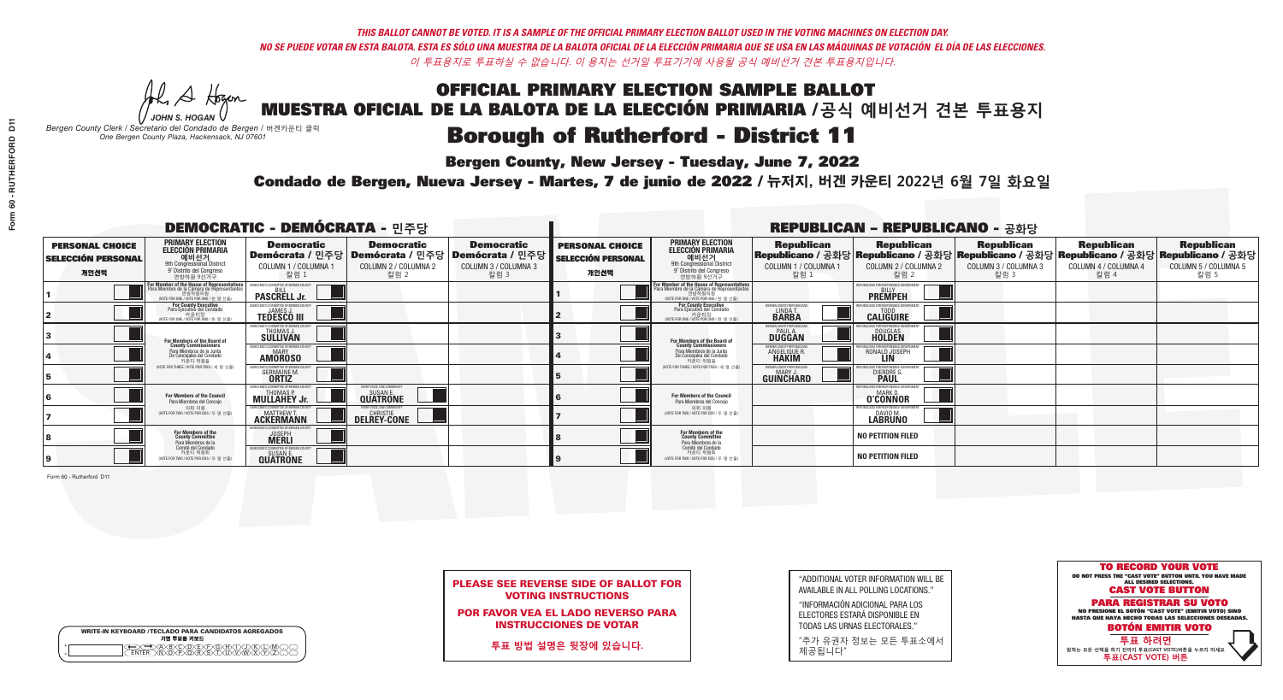A Hogen

**Bergen County, New Jersey - Tuesday, June 7, 2022** 

| <b>WRITE-IN KEYBOARD /TECLADO PARA CANDIDATOS AGREGADOS</b><br>기명 투표용 키보드 |  |
|---------------------------------------------------------------------------|--|
| 70B/C/D/E/F/G/HX                                                          |  |

*JOHN S. HOGAN Bergen County Clerk / Secretario del Condado de Bergen /* 버겐카운티 클럭 *One Bergen County Plaza, Hackensack, NJ 07601*

Condado de Bergen, Nueva Jersey - Martes, 7 de junio de 2022 / 뉴저지, 버겐 카운티 2022년 6월 7일 화요일 *One Bergen County Plaza, Hackensack, NJ 07601*



PLEASE SEE REVERSE SIDE OF BALLOT FOR VOTING INSTRUCTIONS

POR FAVOR VEA EL LADO REVERSO PARA INSTRUCCIONES DE VOTAR

**투표 방법 설명은 뒷장에 있습니다.**

"ADDITIONAL VOTER INFORMATION WILL BE AVAILABLE IN ALL POLLING LOCATIONS."

"INFORMACIÓN ADICIONAL PARA LOS ELECTORES ESTARÁ DISPONIBLE EN TODAS LAS URNAS ELECTORALES."

"추가 유권자 정보는 모든 투표소에서 제공됩니다"

| <b>DEMOCRATIC - DEMÓCRATA - 민주당</b>                         |                                                                                                                                                       |                                                                     |                                                                                       |                                                                        | <b>REPUBLICAN - REPUBLICANO - 공화당</b>                       |                                                                                                                                               |                                                               |                                                                  |                                                                                                                                                |                                                   |                                                   |  |
|-------------------------------------------------------------|-------------------------------------------------------------------------------------------------------------------------------------------------------|---------------------------------------------------------------------|---------------------------------------------------------------------------------------|------------------------------------------------------------------------|-------------------------------------------------------------|-----------------------------------------------------------------------------------------------------------------------------------------------|---------------------------------------------------------------|------------------------------------------------------------------|------------------------------------------------------------------------------------------------------------------------------------------------|---------------------------------------------------|---------------------------------------------------|--|
| <b>PERSONAL CHOICE</b><br><b>SELECCIÓN PERSONAL</b><br>개인선택 | <b>PRIMARY ELECTION</b><br><b>ELECCIÓN PRIMARIA</b><br>예비선거<br>9th Congressional District<br>9° Distrito del Congreso<br>연방하원 9선거구                    | <b>Democratic</b><br>COLUMN 1 / COLUMNA 1<br>칼럼 1                   | <b>Democratic</b><br>│Demócrata / 민주당│Demócrata / 민주당<br>COLUMN 2 / COLUMNA 2<br>칼럼 2 | <b>Democratic</b><br>Demócrata / 민주당  <br>COLUMN 3 / COLUMNA 3<br>칼럼 3 | <b>PERSONAL CHOICE</b><br><b>SELECCIÓN PERSONAL</b><br>개인선택 | <b>PRIMARY ELECTION</b><br>ELECCIÓN PRIMARIA<br>예비선거<br>9th Congressional District<br>9° Distrito del Congreso<br>연방하워 9선거구                   | <b>Republican</b><br>COLUMN 1 / COLUMNA 1<br>칼럼 :             | <b>Republican</b><br>COLUMN 2 / COLUMNA 2<br>칼럼                  | <b>Republican</b><br>Republicano / 공화당 Republicano / 공화당 Republicano / 공화당 Republicano / 공화당 Republicano / 공화당<br>COLUMN 3 / COLUMNA 3<br>칼럼 3 | <b>Republican</b><br>COLUMN 4 / COLUMNA 4<br>칼럼 4 | <b>Republican</b><br>COLUMN 5 / COLUMNA 5<br>칼럼 5 |  |
|                                                             | <b>For Member of the House of Representatives<br/>Para Miembro de la Cámara de Representantes</b><br>연방하원의원<br>(VOTE FOR ONE / VOTE POR UNO / 한 명 선출) | EMOCRATIC COMMITTEE OF BERGEN COUNT<br><b>PASCRELL Jr.</b>          |                                                                                       |                                                                        |                                                             | For Member of the House of Representatives<br>Para Miembro de la Cámara de Representantes<br>연방하원의원<br>(VOTE FOR ONE / VOTE POR UNO / 한 명 선출) |                                                               | PUBLICANS FOR RESPONSIBLE GOVERNMI<br><b>PREMPEH</b>             |                                                                                                                                                |                                                   |                                                   |  |
|                                                             | For County Executive<br>Para Ejecutivo del Condado<br>. 카운티장<br>(VOTE FOR ONE / VOTE POR UNO / 한 명 선출)                                                | FMOCRATIC COMMITTEE OF BERGEN COUNTY<br><b>TEDESCO III</b>          |                                                                                       |                                                                        |                                                             | For County Executive<br>Para Ejecutivo del Condado<br>7 카운티장<br>(VOTE FOR ONE / VOTE POR UNO / 한 명 선출)                                        | BERGEN COUNTY REPUBLICAN<br>LINDA T.                          | <b>CALIGUIRE</b>                                                 |                                                                                                                                                |                                                   |                                                   |  |
|                                                             | For Members of the Board of<br>County Commissioners                                                                                                   | EMOCRATIC COMMITTEE OF BERGEN COUNTY<br>THOMAS J<br><b>SÜLLIVAN</b> |                                                                                       |                                                                        |                                                             | For Members of the Board of<br>County Commissioners                                                                                           | ERGEN COUNTY REPUBLICAN<br><b>DUGGAN</b>                      | <b>DOUGLAS</b><br><b>HOLDEN</b>                                  |                                                                                                                                                |                                                   |                                                   |  |
|                                                             | Para Miembros de la Junta<br>De Concejales del Condado<br>카우티 위원들                                                                                     | MOCRATIC COMMITTEE OF BERGEN COUNTY<br>MARY<br><b>AMOROSO</b>       |                                                                                       |                                                                        |                                                             | Para Miembros de la Junta<br>De Concejales del Condado<br>카우티 위원들                                                                             | ERGEN COUNTY REPUBLICAN<br><b>ANGELIQUE R</b><br><b>HAKIM</b> | RONALD JOSEPH                                                    |                                                                                                                                                |                                                   |                                                   |  |
|                                                             | (VOTE FOR THREE / VOTE POR TRES / 세 명 선출)                                                                                                             | OCRATIC COMMITTEE OF BERGEN C<br><b>GERMAINE M</b><br><b>ORTIZ</b>  |                                                                                       |                                                                        |                                                             | NOTE FOR THREE / VOTE POR TRES / 세 명 선출!                                                                                                      | BERGEN COUNTY REPUBLICANS<br>MARY .I<br>GUINCHARD             | FOR RESPONSIBLE GO<br><b>DIERDRE</b>                             |                                                                                                                                                |                                                   |                                                   |  |
|                                                             | For Members of the Council<br>Para Miembros del Concejo                                                                                               | EMOCRATIC COMMITTEE OF BERGEN CO<br><b>MULLAHEY Jr.</b>             | VERY VOICE. ONE COMMUNITY<br><b>QUATRONE</b>                                          |                                                                        |                                                             | For Members of the Council<br>Para Miembros del Conceio                                                                                       |                                                               | PUBLICANS FOR RESPONSIBLE GO<br><b>MARK D</b><br><b>O'CONNOR</b> |                                                                                                                                                |                                                   |                                                   |  |
|                                                             | 의회 의원<br>NOTE FOR TWO / VOTE POR DOS / 두 명 선출                                                                                                         | <b>FMOCRATIC COMMITTEE OF BERGEN COUNT</b><br><b>ACKERMANN</b>      | VERY VOICE. ONE COMMUNITY<br><b>DELREY-CONE</b>                                       |                                                                        |                                                             | 의회 의원<br>NOTE FOR TWO / VOTE POR DOS / 두 명 선출)                                                                                                |                                                               | EPUBLICANS FOR RESPONSIBLE GOVERNMEN<br>DAVID M.                 |                                                                                                                                                |                                                   |                                                   |  |
|                                                             | For Members of the<br>County Committee<br>Para Miembros de la<br>Comité del Condado                                                                   | AOCRATIC COMMITTEE OF RERGEN COLINT<br><b>JOSEPH</b>                |                                                                                       |                                                                        |                                                             | For Members of the<br>County Committee<br>Para Miembros de la<br>Comité del Condado                                                           |                                                               | <b>NO PETITION FILED</b>                                         |                                                                                                                                                |                                                   |                                                   |  |
|                                                             | 카운티 위원회<br>(VOTE FOR TWO / VOTE POR DOS / 두 명 선출)                                                                                                     | EMOCRATIC COMMITTEE OF BERGEN COUNT<br><b>QUATRONE</b>              |                                                                                       |                                                                        |                                                             | 카운티 위원회<br>WOTE FOR TWO / VOTE POR DOS / 두 명 선출)                                                                                              |                                                               | <b>NO PETITION FILED</b>                                         |                                                                                                                                                |                                                   |                                                   |  |